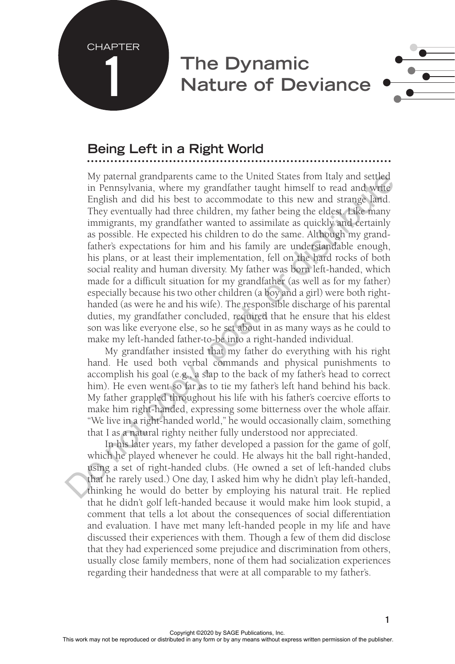CHAPTER

# **The Dynamic** 1 **Nature of Deviance**

## **Being Left in a Right World**

My paternal grandparents came to the United States from Italy and settled in Pennsylvania, where my grandfather taught himself to read and write English and did his best to accommodate to this new and strange land. They eventually had three children, my father being the eldest. Like many immigrants, my grandfather wanted to assimilate as quickly and certainly as possible. He expected his children to do the same. Although my grandfather's expectations for him and his family are understandable enough, his plans, or at least their implementation, fell on the hard rocks of both social reality and human diversity. My father was born left-handed, which made for a difficult situation for my grandfather (as well as for my father) especially because his two other children (a boy and a girl) were both righthanded (as were he and his wife). The responsible discharge of his parental duties, my grandfather concluded, required that he ensure that his eldest son was like everyone else, so he set about in as many ways as he could to make my left-handed father-to-be into a right-handed individual. My patential grandparents cannot o the United States from Italy and settled the maylyonia, where my grandfather taught himself to read and worther English and did his best to accommodate to this new and strange land. They

My grandfather insisted that my father do everything with his right hand. He used both verbal commands and physical punishments to accomplish his goal (e.g., a slap to the back of my father's head to correct him). He even went so far as to tie my father's left hand behind his back. My father grappled throughout his life with his father's coercive efforts to make him right-handed, expressing some bitterness over the whole affair. "We live in a right-handed world," he would occasionally claim, something that I as a natural righty neither fully understood nor appreciated.

In his later years, my father developed a passion for the game of golf, which he played whenever he could. He always hit the ball right-handed, using a set of right-handed clubs. (He owned a set of left-handed clubs that he rarely used.) One day, I asked him why he didn't play left-handed, thinking he would do better by employing his natural trait. He replied that he didn't golf left-handed because it would make him look stupid, a comment that tells a lot about the consequences of social differentiation and evaluation. I have met many left-handed people in my life and have discussed their experiences with them. Though a few of them did disclose that they had experienced some prejudice and discrimination from others, usually close family members, none of them had socialization experiences regarding their handedness that were at all comparable to my father's.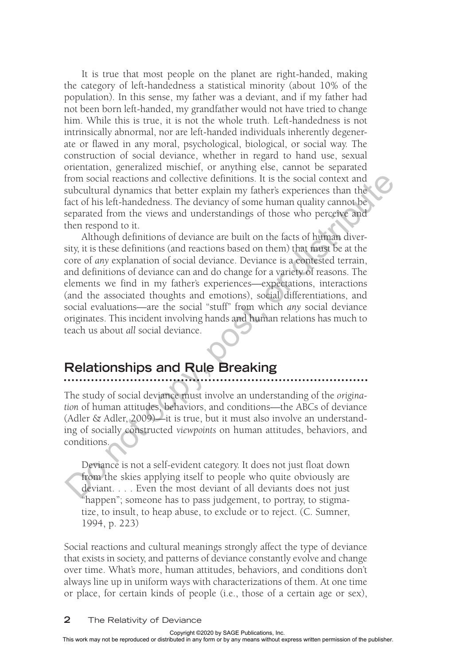It is true that most people on the planet are right-handed, making the category of left-handedness a statistical minority (about 10% of the population). In this sense, my father was a deviant, and if my father had not been born left-handed, my grandfather would not have tried to change him. While this is true, it is not the whole truth. Left-handedness is not intrinsically abnormal, nor are left-handed individuals inherently degenerate or flawed in any moral, psychological, biological, or social way. The construction of social deviance, whether in regard to hand use, sexual orientation, generalized mischief, or anything else, cannot be separated from social reactions and collective definitions. It is the social context and subcultural dynamics that better explain my father's experiences than the fact of his left-handedness. The deviancy of some human quality cannot be separated from the views and understandings of those who perceive and then respond to it.

Although definitions of deviance are built on the facts of human diversity, it is these definitions (and reactions based on them) that must be at the core of *any* explanation of social deviance. Deviance is a contested terrain, and definitions of deviance can and do change for a variety of reasons. The elements we find in my father's experiences—expectations, interactions (and the associated thoughts and emotions), social differentiations, and social evaluations—are the social "stuff" from which *any* social deviance originates. This incident involving hands and human relations has much to teach us about *all* social deviance. from social reactions and collective definitions. It is the social context and subculutural dynamics that better explain my fathers experimences than the distributed from the views and understandings of those who perceive

### **Relationships and Rule Breaking**

The study of social deviance must involve an understanding of the *origination* of human attitudes, behaviors, and conditions—the ABCs of deviance (Adler & Adler, 2009)—it is true, but it must also involve an understanding of socially constructed *viewpoints* on human attitudes, behaviors, and conditions.

Deviance is not a self-evident category. It does not just float down from the skies applying itself to people who quite obviously are deviant. . . . Even the most deviant of all deviants does not just "happen"; someone has to pass judgement, to portray, to stigmatize, to insult, to heap abuse, to exclude or to reject. (C. Sumner, 1994, p. 223)

Social reactions and cultural meanings strongly affect the type of deviance that exists in society, and patterns of deviance constantly evolve and change over time. What's more, human attitudes, behaviors, and conditions don't always line up in uniform ways with characterizations of them. At one time or place, for certain kinds of people (i.e., those of a certain age or sex),

**2** The Relativity of Deviance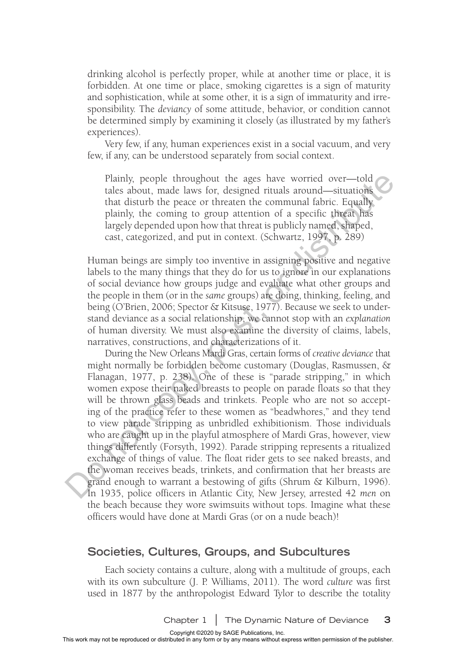drinking alcohol is perfectly proper, while at another time or place, it is forbidden. At one time or place, smoking cigarettes is a sign of maturity and sophistication, while at some other, it is a sign of immaturity and irresponsibility. The *deviancy* of some attitude, behavior, or condition cannot be determined simply by examining it closely (as illustrated by my father's experiences).

Very few, if any, human experiences exist in a social vacuum, and very few, if any, can be understood separately from social context.

Plainly, people throughout the ages have worried over—told tales about, made laws for, designed rituals around—situations that disturb the peace or threaten the communal fabric. Equally plainly, the coming to group attention of a specific threat has largely depended upon how that threat is publicly named, shaped, cast, categorized, and put in context. (Schwartz, 1997, p. 289)

Human beings are simply too inventive in assigning positive and negative labels to the many things that they do for us to ignore in our explanations of social deviance how groups judge and evaluate what other groups and the people in them (or in the *same* groups) are doing, thinking, feeling, and being (O'Brien, 2006; Spector & Kitsuse, 1977). Because we seek to understand deviance as a social relationship, we cannot stop with an *explanation* of human diversity. We must also examine the diversity of claims, labels, narratives, constructions, and characterizations of it.

During the New Orleans Mardi Gras, certain forms of *creative deviance* that might normally be forbidden become customary (Douglas, Rasmussen, & Flanagan, 1977, p. 238). One of these is "parade stripping," in which women expose their naked breasts to people on parade floats so that they will be thrown glass beads and trinkets. People who are not so accepting of the practice refer to these women as "beadwhores," and they tend to view parade stripping as unbridled exhibitionism. Those individuals who are caught up in the playful atmosphere of Mardi Gras, however, view things differently (Forsyth, 1992). Parade stripping represents a ritualized exchange of things of value. The float rider gets to see naked breasts, and the woman receives beads, trinkets, and confirmation that her breasts are grand enough to warrant a bestowing of gifts (Shrum & Kilburn, 1996). In 1935, police officers in Atlantic City, New Jersey, arrested 42 *men* on the beach because they wore swimsuits without tops. Imagine what these officers would have done at Mardi Gras (or on a nude beach)! Plainly, people throughout the ages have worried over—told<br>tales about, made laws for, designed rituals around—situation<br>that disturb the peace or threaten the communal fabric. Equally<br>plainly, the coming to group attenti

#### **Societies, Cultures, Groups, and Subcultures**

Each society contains a culture, along with a multitude of groups, each with its own subculture (J. P. Williams, 2011). The word *culture* was first used in 1877 by the anthropologist Edward Tylor to describe the totality

Chapter 1 | The Dynamic Nature of Deviance **3**

Copyright ©2020 by SAGE Publications, Inc.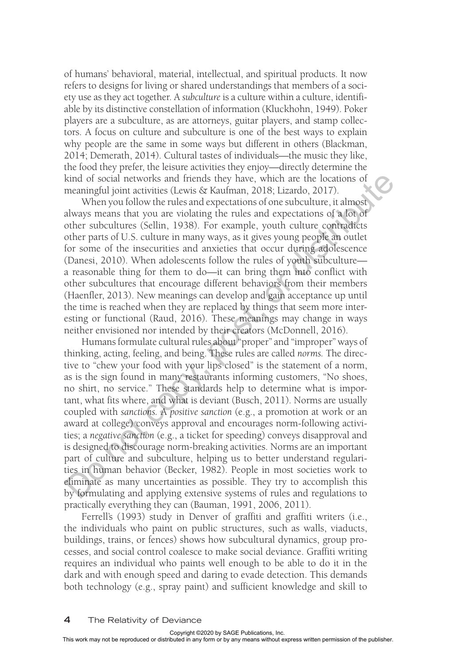of humans' behavioral, material, intellectual, and spiritual products. It now refers to designs for living or shared understandings that members of a society use as they act together. A *subculture* is a culture within a culture, identifiable by its distinctive constellation of information (Kluckhohn, 1949). Poker players are a subculture, as are attorneys, guitar players, and stamp collectors. A focus on culture and subculture is one of the best ways to explain why people are the same in some ways but different in others (Blackman, 2014; Demerath, 2014). Cultural tastes of individuals—the music they like, the food they prefer, the leisure activities they enjoy—directly determine the kind of social networks and friends they have, which are the locations of meaningful joint activities (Lewis & Kaufman, 2018; Lizardo, 2017).

When you follow the rules and expectations of one subculture, it almost always means that you are violating the rules and expectations of a lot of other subcultures (Sellin, 1938). For example, youth culture contradicts other parts of U.S. culture in many ways, as it gives young people an outlet for some of the insecurities and anxieties that occur during adolescence (Danesi, 2010). When adolescents follow the rules of youth subculture a reasonable thing for them to do—it can bring them into conflict with other subcultures that encourage different behaviors from their members (Haenfler, 2013). New meanings can develop and gain acceptance up until the time is reached when they are replaced by things that seem more interesting or functional (Raud, 2016). These meanings may change in ways neither envisioned nor intended by their creators (McDonnell, 2016).

Humans formulate cultural rules about "proper" and "improper" ways of thinking, acting, feeling, and being. These rules are called *norms.* The directive to "chew your food with your lips closed" is the statement of a norm, as is the sign found in many restaurants informing customers, "No shoes, no shirt, no service." These standards help to determine what is important, what fits where, and what is deviant (Busch, 2011). Norms are usually coupled with *sanctions.* A *positive sanction* (e.g., a promotion at work or an award at college) conveys approval and encourages norm-following activities; a *negative sanction* (e.g., a ticket for speeding) conveys disapproval and is designed to discourage norm-breaking activities. Norms are an important part of culture and subculture, helping us to better understand regularities in human behavior (Becker, 1982). People in most societies work to eliminate as many uncertainties as possible. They try to accomplish this by formulating and applying extensive systems of rules and regulations to practically everything they can (Bauman, 1991, 2006, 2011). kind of social networks and friends they have, which are the locations of meaningful joint activities (Lewis  $\&$ K Kaufman, 2018; Lizardo, 2017). When you follow the rules and expectations of one subculture, it almost alw

Ferrell's (1993) study in Denver of graffiti and graffiti writers (i.e., the individuals who paint on public structures, such as walls, viaducts, buildings, trains, or fences) shows how subcultural dynamics, group processes, and social control coalesce to make social deviance. Graffiti writing requires an individual who paints well enough to be able to do it in the dark and with enough speed and daring to evade detection. This demands both technology (e.g., spray paint) and sufficient knowledge and skill to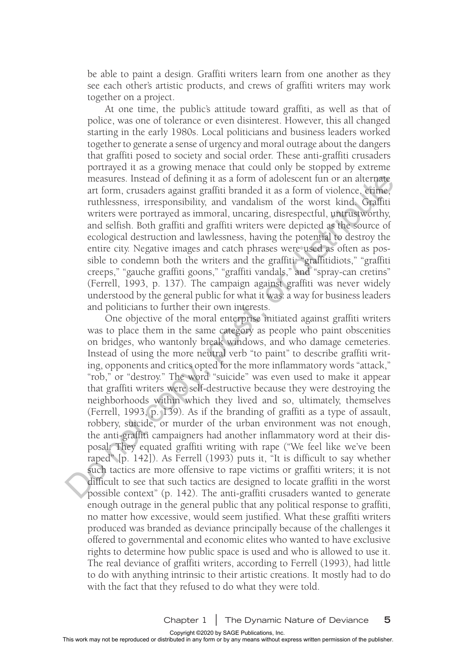be able to paint a design. Graffiti writers learn from one another as they see each other's artistic products, and crews of graffiti writers may work together on a project.

At one time, the public's attitude toward graffiti, as well as that of police, was one of tolerance or even disinterest. However, this all changed starting in the early 1980s. Local politicians and business leaders worked together to generate a sense of urgency and moral outrage about the dangers that graffiti posed to society and social order. These anti-graffiti crusaders portrayed it as a growing menace that could only be stopped by extreme measures. Instead of defining it as a form of adolescent fun or an alternate art form, crusaders against graffiti branded it as a form of violence, crime, ruthlessness, irresponsibility, and vandalism of the worst kind. Graffiti writers were portrayed as immoral, uncaring, disrespectful, untrustworthy, and selfish. Both graffiti and graffiti writers were depicted as the source of ecological destruction and lawlessness, having the potential to destroy the entire city. Negative images and catch phrases were used as often as possible to condemn both the writers and the graffiti: "graffitidiots," "graffiti creeps," "gauche graffiti goons," "graffiti vandals," and "spray-can cretins" (Ferrell, 1993, p. 137). The campaign against graffiti was never widely understood by the general public for what it was: a way for business leaders and politicians to further their own interests.

One objective of the moral enterprise initiated against graffiti writers was to place them in the same category as people who paint obscenities on bridges, who wantonly break windows, and who damage cemeteries. Instead of using the more neutral verb "to paint" to describe graffiti writing, opponents and critics opted for the more inflammatory words "attack," "rob," or "destroy." The word "suicide" was even used to make it appear that graffiti writers were self-destructive because they were destroying the neighborhoods within which they lived and so, ultimately, themselves (Ferrell, 1993, p. 139). As if the branding of graffiti as a type of assault, robbery, suicide, or murder of the urban environment was not enough, the anti-graffiti campaigners had another inflammatory word at their disposal: They equated graffiti writing with rape ("We feel like we've been raped" [p. 142]). As Ferrell (1993) puts it, "It is difficult to say whether such tactics are more offensive to rape victims or graffiti writers; it is not difficult to see that such tactics are designed to locate graffiti in the worst possible context" (p. 142). The anti-graffiti crusaders wanted to generate enough outrage in the general public that any political response to graffiti, no matter how excessive, would seem justified. What these graffiti writers produced was branded as deviance principally because of the challenges it offered to governmental and economic elites who wanted to have exclusive rights to determine how public space is used and who is allowed to use it. The real deviance of graffiti writers, according to Ferrell (1993), had little to do with anything intrinsic to their artistic creations. It mostly had to do with the fact that they refused to do what they were told. measures. Instead of defining it as a form of adolescent fun or an alternate art form, cusated say first bis maling and the as form of violence, dime, ruthlessness, iresponsibility, and vandalism of the worst kind, Graffi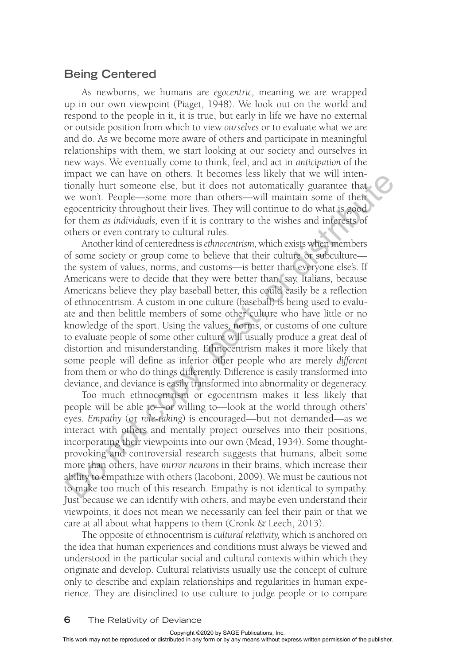#### **Being Centered**

As newborns, we humans are *egocentric,* meaning we are wrapped up in our own viewpoint (Piaget, 1948). We look out on the world and respond to the people in it, it is true, but early in life we have no external or outside position from which to view *ourselves* or to evaluate what we are and do. As we become more aware of others and participate in meaningful relationships with them, we start looking at our society and ourselves in new ways. We eventually come to think, feel, and act in *anticipation* of the impact we can have on others. It becomes less likely that we will intentionally hurt someone else, but it does not automatically guarantee that we won't. People—some more than others—will maintain some of their egocentricity throughout their lives. They will continue to do what is good for them *as individuals,* even if it is contrary to the wishes and interests of others or even contrary to cultural rules.

Another kind of centeredness is *ethnocentrism,* which exists when members of some society or group come to believe that their culture or subculture the system of values, norms, and customs—is better than everyone else's. If Americans were to decide that they were better than, say, Italians, because Americans believe they play baseball better, this could easily be a reflection of ethnocentrism. A custom in one culture (baseball) is being used to evaluate and then belittle members of some other culture who have little or no knowledge of the sport. Using the values, norms, or customs of one culture to evaluate people of some other culture will usually produce a great deal of distortion and misunderstanding. Ethnocentrism makes it more likely that some people will define as inferior other people who are merely *different* from them or who do things differently. Difference is easily transformed into deviance, and deviance is easily transformed into abnormality or degeneracy. mpact we can nave on others. It oecomies less make you and member<br>orionally burt someones containt does not automatically guarantee that<br>we won't. People—some more than others—will maintain some of them<br>exergencentricity

Too much ethnocentrism or egocentrism makes it less likely that people will be able to—or willing to—look at the world through others' eyes. *Empathy* (or *role-taking*) is encouraged—but not demanded—as we interact with others and mentally project ourselves into their positions, incorporating their viewpoints into our own (Mead, 1934). Some thoughtprovoking and controversial research suggests that humans, albeit some more than others, have *mirror neurons* in their brains, which increase their ability to empathize with others (Iacoboni, 2009). We must be cautious not to make too much of this research. Empathy is not identical to sympathy. Just because we can identify with others, and maybe even understand their viewpoints, it does not mean we necessarily can feel their pain or that we care at all about what happens to them (Cronk & Leech, 2013).

The opposite of ethnocentrism is *cultural relativity,* which is anchored on the idea that human experiences and conditions must always be viewed and understood in the particular social and cultural contexts within which they originate and develop. Cultural relativists usually use the concept of culture only to describe and explain relationships and regularities in human experience. They are disinclined to use culture to judge people or to compare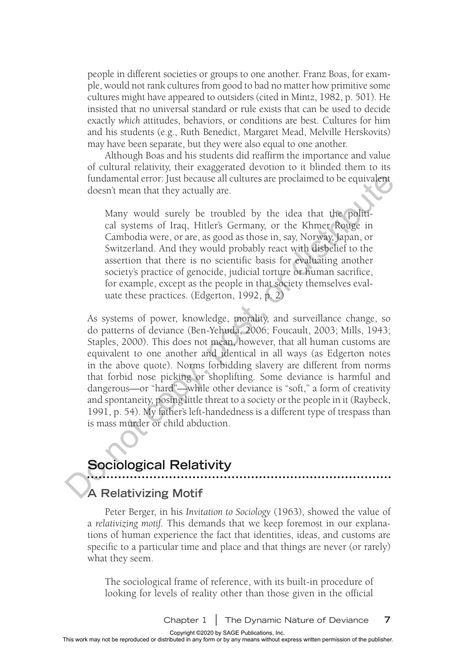people in different societies or groups to one another. Franz Boas, for example, would not rank cultures from good to bad no matter how primitive some cultures might have appeared to outsiders (cited in Mintz, 1982, p. 501). He insisted that no universal standard or rule exists that can be used to decide exactly *which* attitudes, behaviors, or conditions are best. Cultures for him and his students (e.g., Ruth Benedict, Margaret Mead, Melville Herskovits) may have been separate, but they were also equal to one another.

Although Boas and his students did reaffirm the importance and value of cultural relativity, their exaggerated devotion to it blinded them to its fundamental error: Just because all cultures are proclaimed to be equivalent doesn't mean that they actually are.

Many would surely be troubled by the idea that the political systems of Iraq, Hitler's Germany, or the Khmer Rouge in Cambodia were, or are, as good as those in, say, Norway, Japan, or Switzerland. And they would probably react with disbelief to the assertion that there is no scientific basis for evaluating another society's practice of genocide, judicial torture or human sacrifice, for example, except as the people in that society themselves evaluate these practices. (Edgerton, 1992, p. 2)

As systems of power, knowledge, morality, and surveillance change, so do patterns of deviance (Ben-Yehuda, 2006; Foucault, 2003; Mills, 1943; Staples, 2000). This does not mean, however, that all human customs are equivalent to one another and identical in all ways (as Edgerton notes in the above quote). Norms forbidding slavery are different from norms that forbid nose picking or shoplifting. Some deviance is harmful and dangerous—or "hard"—while other deviance is "soft," a form of creativity and spontaneity, posing little threat to a society or the people in it (Raybeck, 1991, p. 54). My father's left-handedness is a different type of trespass than is mass murder or child abduction. fundamental error: Just because all cultures are proclaimed to be equivalent<br>doesn't mean that they actually are.<br>
Mary would surely be troubled by the idea that the political systems of Iraq. Hitler's Germany, or the Khme

#### **Sociological Relativity**

#### **A Relativizing Motif**

Peter Berger, in his *Invitation to Sociology* (1963), showed the value of a *relativizing motif.* This demands that we keep foremost in our explanations of human experience the fact that identities, ideas, and customs are specific to a particular time and place and that things are never (or rarely) what they seem.

The sociological frame of reference, with its built-in procedure of looking for levels of reality other than those given in the official

Chapter 1 | The Dynamic Nature of Deviance **7**

Copyright ©2020 by SAGE Publications, Inc.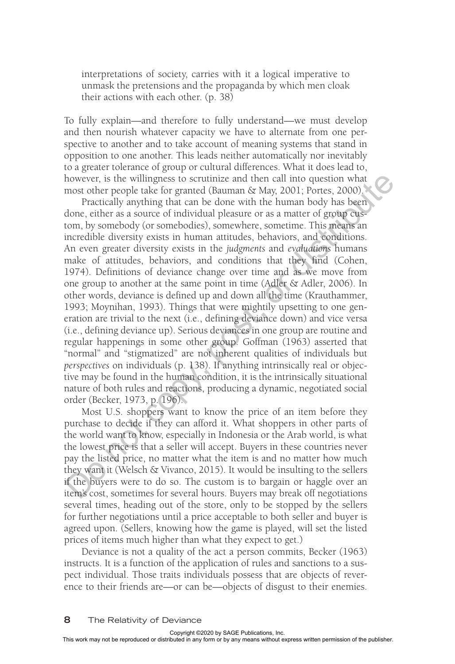interpretations of society, carries with it a logical imperative to unmask the pretensions and the propaganda by which men cloak their actions with each other. (p. 38)

To fully explain—and therefore to fully understand—we must develop and then nourish whatever capacity we have to alternate from one perspective to another and to take account of meaning systems that stand in opposition to one another. This leads neither automatically nor inevitably to a greater tolerance of group or cultural differences. What it does lead to, however, is the willingness to scrutinize and then call into question what most other people take for granted (Bauman & May, 2001; Portes, 2000).

Practically anything that can be done with the human body has been done, either as a source of individual pleasure or as a matter of group custom, by somebody (or somebodies), somewhere, sometime. This means an incredible diversity exists in human attitudes, behaviors, and conditions. An even greater diversity exists in the *judgments* and *evaluations* humans make of attitudes, behaviors, and conditions that they find (Cohen, 1974). Definitions of deviance change over time and as we move from one group to another at the same point in time (Adler & Adler, 2006). In other words, deviance is defined up and down all the time (Krauthammer, 1993; Moynihan, 1993). Things that were mightily upsetting to one generation are trivial to the next (i.e., defining deviance down) and vice versa (i.e., defining deviance up). Serious deviances in one group are routine and regular happenings in some other group. Goffman (1963) asserted that "normal" and "stigmatized" are not inherent qualities of individuals but *perspectives* on individuals (p. 138). If anything intrinsically real or objective may be found in the human condition, it is the intrinsically situational nature of both rules and reactions, producing a dynamic, negotiated social order (Becker, 1973, p. 196). however, is the willingness to scrutinize and then call into question what<br>most other prople take for granted (Baurunn & May, 2001; Portes, 2000).<br>Practically anything that can be done with the human body has been<br>done, ei

Most U.S. shoppers want to know the price of an item before they purchase to decide if they can afford it. What shoppers in other parts of the world want to know, especially in Indonesia or the Arab world, is what the lowest price is that a seller will accept. Buyers in these countries never pay the listed price, no matter what the item is and no matter how much they want it (Welsch & Vivanco, 2015). It would be insulting to the sellers if the buyers were to do so. The custom is to bargain or haggle over an item's cost, sometimes for several hours. Buyers may break off negotiations several times, heading out of the store, only to be stopped by the sellers for further negotiations until a price acceptable to both seller and buyer is agreed upon. (Sellers, knowing how the game is played, will set the listed prices of items much higher than what they expect to get.)

Deviance is not a quality of the act a person commits, Becker (1963) instructs. It is a function of the application of rules and sanctions to a suspect individual. Those traits individuals possess that are objects of reverence to their friends are—or can be—objects of disgust to their enemies.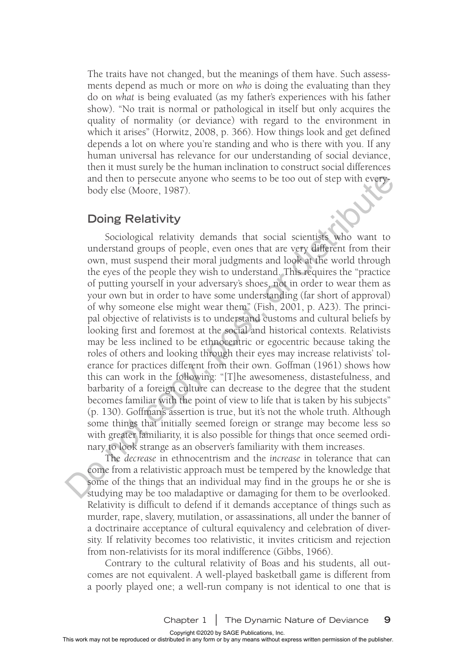The traits have not changed, but the meanings of them have. Such assessments depend as much or more on *who* is doing the evaluating than they do on *what* is being evaluated (as my father's experiences with his father show). "No trait is normal or pathological in itself but only acquires the quality of normality (or deviance) with regard to the environment in which it arises" (Horwitz, 2008, p. 366). How things look and get defined depends a lot on where you're standing and who is there with you. If any human universal has relevance for our understanding of social deviance, then it must surely be the human inclination to construct social differences and then to persecute anyone who seems to be too out of step with everybody else (Moore, 1987).

#### **Doing Relativity**

Sociological relativity demands that social scientists who want to understand groups of people, even ones that are very different from their own, must suspend their moral judgments and look at the world through the eyes of the people they wish to understand. This requires the "practice of putting yourself in your adversary's shoes, not in order to wear them as your own but in order to have some understanding (far short of approval) of why someone else might wear them" (Fish, 2001, p. A23). The principal objective of relativists is to understand customs and cultural beliefs by looking first and foremost at the social and historical contexts. Relativists may be less inclined to be ethnocentric or egocentric because taking the roles of others and looking through their eyes may increase relativists' tolerance for practices different from their own. Goffman (1961) shows how this can work in the following: "[T]he awesomeness, distastefulness, and barbarity of a foreign culture can decrease to the degree that the student becomes familiar with the point of view to life that is taken by his subjects" (p. 130). Goffman's assertion is true, but it's not the whole truth. Although some things that initially seemed foreign or strange may become less so with greater familiarity, it is also possible for things that once seemed ordinary to look strange as an observer's familiarity with them increases. and then to persecute anyone who seems to be too out of step with every<br>body else (Moore, 1987).<br>
Doing Relativity<br>
Sociological relativity<br>
demands that social scientists who want to<br>
understand groups of people, even one

The *decrease* in ethnocentrism and the *increase* in tolerance that can come from a relativistic approach must be tempered by the knowledge that some of the things that an individual may find in the groups he or she is studying may be too maladaptive or damaging for them to be overlooked. Relativity is difficult to defend if it demands acceptance of things such as murder, rape, slavery, mutilation, or assassinations, all under the banner of a doctrinaire acceptance of cultural equivalency and celebration of diversity. If relativity becomes too relativistic, it invites criticism and rejection from non-relativists for its moral indifference (Gibbs, 1966).

Contrary to the cultural relativity of Boas and his students, all outcomes are not equivalent. A well-played basketball game is different from a poorly played one; a well-run company is not identical to one that is

Chapter 1 | The Dynamic Nature of Deviance **9**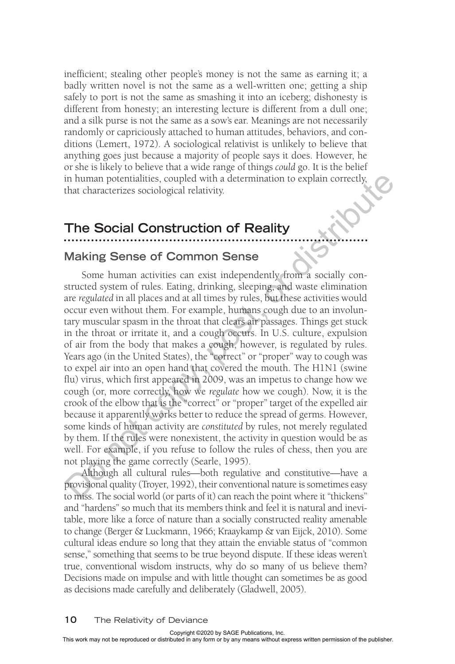inefficient; stealing other people's money is not the same as earning it; a badly written novel is not the same as a well-written one; getting a ship safely to port is not the same as smashing it into an iceberg; dishonesty is different from honesty; an interesting lecture is different from a dull one; and a silk purse is not the same as a sow's ear. Meanings are not necessarily randomly or capriciously attached to human attitudes, behaviors, and conditions (Lemert, 1972). A sociological relativist is unlikely to believe that anything goes just because a majority of people says it does. However, he or she is likely to believe that a wide range of things *could* go. It is the belief in human potentialities, coupled with a determination to explain correctly, that characterizes sociological relativity.

# **The Social Construction of Reality**

#### **Making Sense of Common Sense**

Some human activities can exist independently from a socially constructed system of rules. Eating, drinking, sleeping, and waste elimination are *regulated* in all places and at all times by rules, but these activities would occur even without them. For example, humans cough due to an involuntary muscular spasm in the throat that clears air passages. Things get stuck in the throat or irritate it, and a cough occurs. In U.S. culture, expulsion of air from the body that makes a cough, however, is regulated by rules. Years ago (in the United States), the "correct" or "proper" way to cough was to expel air into an open hand that covered the mouth. The H1N1 (swine flu) virus, which first appeared in 2009, was an impetus to change how we cough (or, more correctly, how we *regulate* how we cough). Now, it is the crook of the elbow that is the "correct" or "proper" target of the expelled air because it apparently works better to reduce the spread of germs. However, some kinds of human activity are *constituted* by rules, not merely regulated by them. If the rules were nonexistent, the activity in question would be as well. For example, if you refuse to follow the rules of chess, then you are not playing the game correctly (Searle, 1995). in human potentialities, coupled with a determination to explain correctly.<br> **Onder the Convergence of Common Sense**<br>
Some human activities can exist independently from a socially con-<br> **Some human activities can exist ind** 

Although all cultural rules—both regulative and constitutive—have a provisional quality (Troyer, 1992), their conventional nature is sometimes easy to miss. The social world (or parts of it) can reach the point where it "thickens" and "hardens" so much that its members think and feel it is natural and inevitable, more like a force of nature than a socially constructed reality amenable to change (Berger & Luckmann, 1966; Kraaykamp & van Eijck, 2010). Some cultural ideas endure so long that they attain the enviable status of "common sense," something that seems to be true beyond dispute. If these ideas weren't true, conventional wisdom instructs, why do so many of us believe them? Decisions made on impulse and with little thought can sometimes be as good as decisions made carefully and deliberately (Gladwell, 2005).

#### 10 The Relativity of Deviance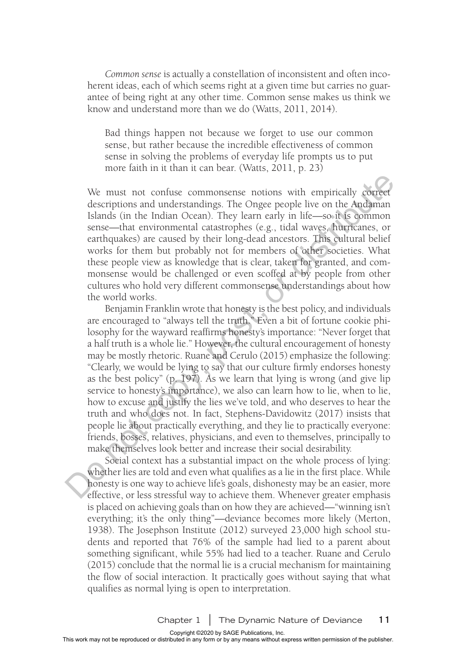*Common sense* is actually a constellation of inconsistent and often incoherent ideas, each of which seems right at a given time but carries no guarantee of being right at any other time. Common sense makes us think we know and understand more than we do (Watts, 2011, 2014).

Bad things happen not because we forget to use our common sense, but rather because the incredible effectiveness of common sense in solving the problems of everyday life prompts us to put more faith in it than it can bear. (Watts, 2011, p. 23)

We must not confuse commonsense notions with empirically correct descriptions and understandings. The Ongee people live on the Andaman Islands (in the Indian Ocean). They learn early in life—so it is common sense—that environmental catastrophes (e.g., tidal waves, hurricanes, or earthquakes) are caused by their long-dead ancestors. This cultural belief works for them but probably not for members of other societies. What these people view as knowledge that is clear, taken for granted, and commonsense would be challenged or even scoffed at by people from other cultures who hold very different commonsense understandings about how the world works.

Benjamin Franklin wrote that honesty is the best policy, and individuals are encouraged to "always tell the truth." Even a bit of fortune cookie philosophy for the wayward reaffirms honesty's importance: "Never forget that a half truth is a whole lie." However, the cultural encouragement of honesty may be mostly rhetoric. Ruane and Cerulo (2015) emphasize the following: "Clearly, we would be lying to say that our culture firmly endorses honesty as the best policy" (p. 197). As we learn that lying is wrong (and give lip service to honesty's importance), we also can learn how to lie, when to lie, how to excuse and justify the lies we've told, and who deserves to hear the truth and who does not. In fact, Stephens-Davidowitz (2017) insists that people lie about practically everything, and they lie to practically everyone: friends, bosses, relatives, physicians, and even to themselves, principally to make themselves look better and increase their social desirability. We must not confuse commonsense notions with empirically concert<br>descriptions and understandings. The Ongee people live on the Andaman<br>Islands (in the Indian Ocean). They learn early in life—so-it is common<br>sense—that env

Social context has a substantial impact on the whole process of lying: whether lies are told and even what qualifies as a lie in the first place. While honesty is one way to achieve life's goals, dishonesty may be an easier, more effective, or less stressful way to achieve them. Whenever greater emphasis is placed on achieving goals than on how they are achieved—"winning isn't everything; it's the only thing"—deviance becomes more likely (Merton, 1938). The Josephson Institute (2012) surveyed 23,000 high school students and reported that 76% of the sample had lied to a parent about something significant, while 55% had lied to a teacher. Ruane and Cerulo (2015) conclude that the normal lie is a crucial mechanism for maintaining the flow of social interaction. It practically goes without saying that what qualifies as normal lying is open to interpretation.

Chapter 1 | The Dynamic Nature of Deviance **11**

Copyright ©2020 by SAGE Publications, Inc.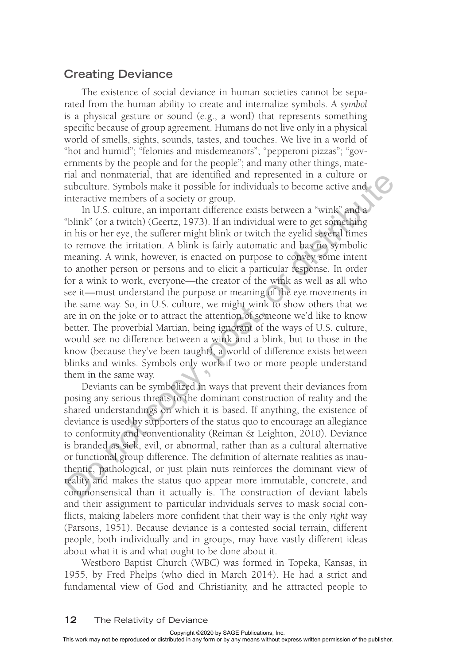#### **Creating Deviance**

The existence of social deviance in human societies cannot be separated from the human ability to create and internalize symbols. A *symbol* is a physical gesture or sound (e.g., a word) that represents something specific because of group agreement. Humans do not live only in a physical world of smells, sights, sounds, tastes, and touches. We live in a world of "hot and humid"; "felonies and misdemeanors"; "pepperoni pizzas"; "governments by the people and for the people"; and many other things, material and nonmaterial, that are identified and represented in a culture or subculture. Symbols make it possible for individuals to become active and interactive members of a society or group.

In U.S. culture, an important difference exists between a "wink" and a "blink" (or a twitch) (Geertz, 1973). If an individual were to get something in his or her eye, the sufferer might blink or twitch the eyelid several times to remove the irritation. A blink is fairly automatic and has no symbolic meaning. A wink, however, is enacted on purpose to convey some intent to another person or persons and to elicit a particular response. In order for a wink to work, everyone—the creator of the wink as well as all who see it—must understand the purpose or meaning of the eye movements in the same way. So, in U.S. culture, we might wink to show others that we are in on the joke or to attract the attention of someone we'd like to know better. The proverbial Martian, being ignorant of the ways of U.S. culture, would see no difference between a wink and a blink, but to those in the know (because they've been taught), a world of difference exists between blinks and winks. Symbols only work if two or more people understand them in the same way. mal and nonmaterial, that are identitied and represented in a culture of<br>the orthodomy and consider or the considered and the obsolutive. Symbols make it possible for individuals to become active and<br>interactive members of

Deviants can be symbolized in ways that prevent their deviances from posing any serious threats to the dominant construction of reality and the shared understandings on which it is based. If anything, the existence of deviance is used by supporters of the status quo to encourage an allegiance to conformity and conventionality (Reiman & Leighton, 2010). Deviance is branded as sick, evil, or abnormal, rather than as a cultural alternative or functional group difference. The definition of alternate realities as inauthentic, pathological, or just plain nuts reinforces the dominant view of reality and makes the status quo appear more immutable, concrete, and commonsensical than it actually is. The construction of deviant labels and their assignment to particular individuals serves to mask social conflicts, making labelers more confident that their way is the only *right* way (Parsons, 1951). Because deviance is a contested social terrain, different people, both individually and in groups, may have vastly different ideas about what it is and what ought to be done about it.

Westboro Baptist Church (WBC) was formed in Topeka, Kansas, in 1955, by Fred Phelps (who died in March 2014). He had a strict and fundamental view of God and Christianity, and he attracted people to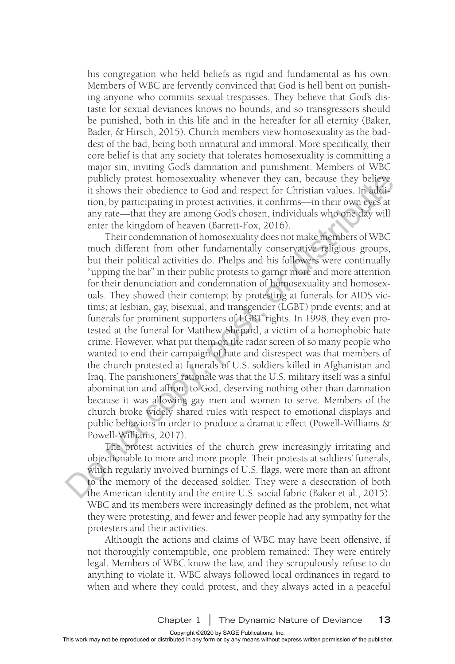his congregation who held beliefs as rigid and fundamental as his own. Members of WBC are fervently convinced that God is hell bent on punishing anyone who commits sexual trespasses. They believe that God's distaste for sexual deviances knows no bounds, and so transgressors should be punished, both in this life and in the hereafter for all eternity (Baker, Bader, & Hirsch, 2015). Church members view homosexuality as the baddest of the bad, being both unnatural and immoral. More specifically, their core belief is that any society that tolerates homosexuality is committing a major sin, inviting God's damnation and punishment. Members of WBC publicly protest homosexuality whenever they can, because they believe it shows their obedience to God and respect for Christian values. In addition, by participating in protest activities, it confirms—in their own eyes at any rate—that they are among God's chosen, individuals who one day will enter the kingdom of heaven (Barrett-Fox, 2016).

Their condemnation of homosexuality does not make members of WBC much different from other fundamentally conservative religious groups, but their political activities do. Phelps and his followers were continually "upping the bar" in their public protests to garner more and more attention for their denunciation and condemnation of homosexuality and homosexuals. They showed their contempt by protesting at funerals for AIDS victims; at lesbian, gay, bisexual, and transgender (LGBT) pride events; and at funerals for prominent supporters of LGBT rights. In 1998, they even protested at the funeral for Matthew Shepard, a victim of a homophobic hate crime. However, what put them on the radar screen of so many people who wanted to end their campaign of hate and disrespect was that members of the church protested at funerals of U.S. soldiers killed in Afghanistan and Iraq. The parishioners' rationale was that the U.S. military itself was a sinful abomination and affront to God, deserving nothing other than damnation because it was allowing gay men and women to serve. Members of the church broke widely shared rules with respect to emotional displays and public behaviors in order to produce a dramatic effect (Powell-Williams & Powell-Williams, 2017). publicly protest homosexuality whenever they can, because they believe<br>it shows their obscience to God and respect for Christian values. In addi-<br>tion, by participating in protest activities, it confirms—in their own eyes

The protest activities of the church grew increasingly irritating and objectionable to more and more people. Their protests at soldiers' funerals, which regularly involved burnings of U.S. flags, were more than an affront to the memory of the deceased soldier. They were a desecration of both the American identity and the entire U.S. social fabric (Baker et al., 2015). WBC and its members were increasingly defined as the problem, not what they were protesting, and fewer and fewer people had any sympathy for the protesters and their activities.

Although the actions and claims of WBC may have been offensive, if not thoroughly contemptible, one problem remained: They were entirely legal. Members of WBC know the law, and they scrupulously refuse to do anything to violate it. WBC always followed local ordinances in regard to when and where they could protest, and they always acted in a peaceful

Chapter 1 | The Dynamic Nature of Deviance **13**

Copyright ©2020 by SAGE Publications, Inc.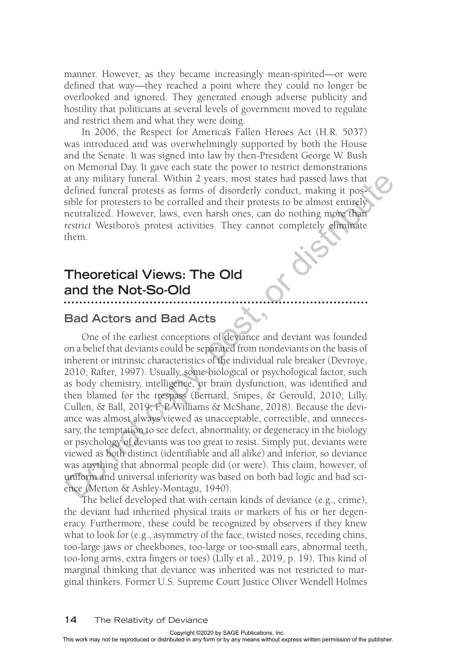manner. However, as they became increasingly mean-spirited—or were defined that way—they reached a point where they could no longer be overlooked and ignored. They generated enough adverse publicity and hostility that politicians at several levels of government moved to regulate and restrict them and what they were doing.

In 2006, the Respect for America's Fallen Heroes Act (H.R. 5037) was introduced and was overwhelmingly supported by both the House and the Senate. It was signed into law by then-President George W. Bush on Memorial Day. It gave each state the power to restrict demonstrations at any military funeral. Within 2 years, most states had passed laws that defined funeral protests as forms of disorderly conduct, making it possible for protesters to be corralled and their protests to be almost entirely neutralized. However, laws, even harsh ones, can do nothing more than *restrict* Westboro's protest activities. They cannot completely eliminate them.

# **Theoretical Views: The Old and the Not-So-Old**

#### **Bad Actors and Bad Acts**

One of the earliest conceptions of deviance and deviant was founded on a belief that deviants could be separated from nondeviants on the basis of inherent or intrinsic characteristics of the individual rule breaker (Devroye, 2010; Rafter, 1997). Usually, some biological or psychological factor, such as body chemistry, intelligence, or brain dysfunction, was identified and then blamed for the trespass (Bernard, Snipes, & Gerould, 2010; Lilly, Cullen, & Ball, 2019; F. P. Williams & McShane, 2018). Because the deviance was almost always viewed as unacceptable, correctible, and unnecessary, the temptation to see defect, abnormality, or degeneracy in the biology or psychology of deviants was too great to resist. Simply put, deviants were viewed as both distinct (identifiable and all alike) and inferior, so deviance was anything that abnormal people did (or were). This claim, however, of uniform and universal inferiority was based on both bad logic and bad science (Merton & Ashley-Montagu, 1940). at any military funeral. Within 2 years, most states had passed laws that<br>defined funeral protests as forms of disorderly conduct, making it possible<br>for protesters to be corralled and their protests to be almost entirely<br>

The belief developed that with certain kinds of deviance (e.g., crime), the deviant had inherited physical traits or markers of his or her degeneracy. Furthermore, these could be recognized by observers if they knew what to look for (e.g., asymmetry of the face, twisted noses, receding chins, too-large jaws or cheekbones, too-large or too-small ears, abnormal teeth, too-long arms, extra fingers or toes) (Lilly et al., 2019, p. 19). This kind of marginal thinking that deviance was inherited was not restricted to marginal thinkers. Former U.S. Supreme Court Justice Oliver Wendell Holmes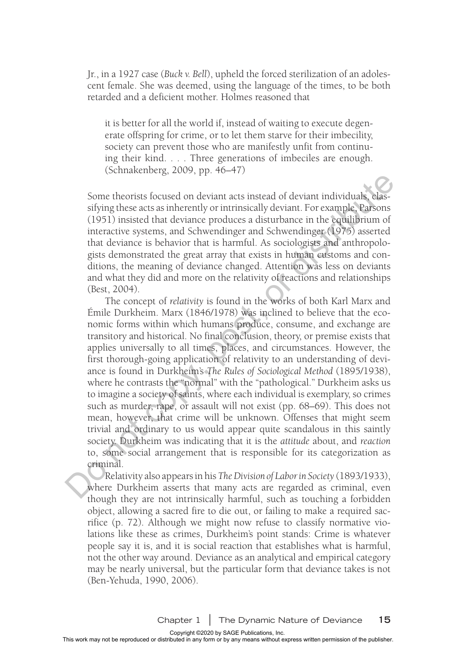Jr., in a 1927 case (*Buck v. Bell*), upheld the forced sterilization of an adolescent female. She was deemed, using the language of the times, to be both retarded and a deficient mother. Holmes reasoned that

it is better for all the world if, instead of waiting to execute degenerate offspring for crime, or to let them starve for their imbecility, society can prevent those who are manifestly unfit from continuing their kind. . . . Three generations of imbeciles are enough. (Schnakenberg, 2009, pp. 46–47)

Some theorists focused on deviant acts instead of deviant individuals, classifying these acts as inherently or intrinsically deviant. For example, Parsons (1951) insisted that deviance produces a disturbance in the equilibrium of interactive systems, and Schwendinger and Schwendinger (1975) asserted that deviance is behavior that is harmful. As sociologists and anthropologists demonstrated the great array that exists in human customs and conditions, the meaning of deviance changed. Attention was less on deviants and what they did and more on the relativity of reactions and relationships (Best, 2004).

The concept of *relativity* is found in the works of both Karl Marx and Émile Durkheim. Marx (1846/1978) was inclined to believe that the economic forms within which humans produce, consume, and exchange are transitory and historical. No final conclusion, theory, or premise exists that applies universally to all times, places, and circumstances. However, the first thorough-going application of relativity to an understanding of deviance is found in Durkheim's *The Rules of Sociological Method* (1895/1938), where he contrasts the "normal" with the "pathological." Durkheim asks us to imagine a society of saints, where each individual is exemplary, so crimes such as murder, rape, or assault will not exist (pp. 68–69). This does not mean, however, that crime will be unknown. Offenses that might seem trivial and ordinary to us would appear quite scandalous in this saintly society. Durkheim was indicating that it is the *attitude* about, and *reaction* to, some social arrangement that is responsible for its categorization as criminal. Some theorists focused on deviant acts instead of deviant individuals, elas-<br>sifying these acts as inherently or intrinsically deviant. For example, Parsons<br>(1951) insisted that deviance produces a disturbance in the equi

Relativity also appears in his *The Division of Labor in Society* (1893/1933), where Durkheim asserts that many acts are regarded as criminal, even though they are not intrinsically harmful, such as touching a forbidden object, allowing a sacred fire to die out, or failing to make a required sacrifice (p. 72). Although we might now refuse to classify normative violations like these as crimes, Durkheim's point stands: Crime is whatever people say it is, and it is social reaction that establishes what is harmful, not the other way around. Deviance as an analytical and empirical category may be nearly universal, but the particular form that deviance takes is not (Ben-Yehuda, 1990, 2006).

Chapter 1 | The Dynamic Nature of Deviance **15**

Copyright ©2020 by SAGE Publications, Inc.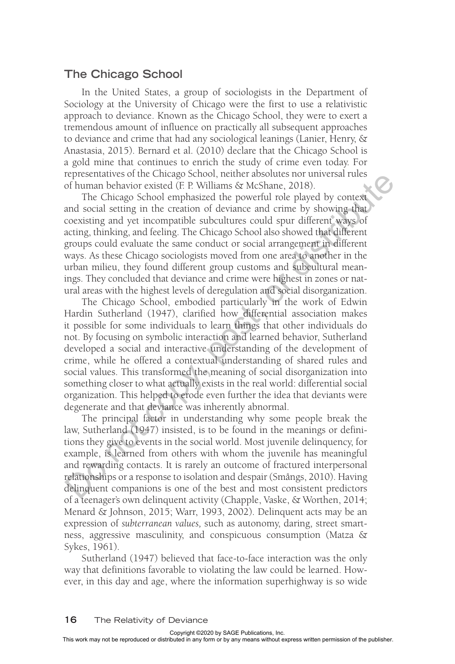#### **The Chicago School**

In the United States, a group of sociologists in the Department of Sociology at the University of Chicago were the first to use a relativistic approach to deviance. Known as the Chicago School, they were to exert a tremendous amount of influence on practically all subsequent approaches to deviance and crime that had any sociological leanings (Lanier, Henry, & Anastasia, 2015). Bernard et al. (2010) declare that the Chicago School is a gold mine that continues to enrich the study of crime even today. For representatives of the Chicago School, neither absolutes nor universal rules of human behavior existed (F. P. Williams & McShane, 2018).

The Chicago School emphasized the powerful role played by context and social setting in the creation of deviance and crime by showing that coexisting and yet incompatible subcultures could spur different ways of acting, thinking, and feeling. The Chicago School also showed that different groups could evaluate the same conduct or social arrangement in different ways. As these Chicago sociologists moved from one area to another in the urban milieu, they found different group customs and subcultural meanings. They concluded that deviance and crime were highest in zones or natural areas with the highest levels of deregulation and social disorganization.

The Chicago School, embodied particularly in the work of Edwin Hardin Sutherland (1947), clarified how differential association makes it possible for some individuals to learn things that other individuals do not. By focusing on symbolic interaction and learned behavior, Sutherland developed a social and interactive understanding of the development of crime, while he offered a contextual understanding of shared rules and social values. This transformed the meaning of social disorganization into something closer to what actually exists in the real world: differential social organization. This helped to erode even further the idea that deviants were degenerate and that deviance was inherently abnormal. representatives or the Chinge Scribot), mether absolutes for thrivestal relations of human behavior existed (E. P. Williams & McShane, 2018). The Chicago School emphasized the powerful role played by context and social set

The principal factor in understanding why some people break the law, Sutherland (1947) insisted, is to be found in the meanings or definitions they give to events in the social world. Most juvenile delinquency, for example, is learned from others with whom the juvenile has meaningful and rewarding contacts. It is rarely an outcome of fractured interpersonal relationships or a response to isolation and despair (Smångs, 2010). Having delinquent companions is one of the best and most consistent predictors of a teenager's own delinquent activity (Chapple, Vaske, & Worthen, 2014; Menard & Johnson, 2015; Warr, 1993, 2002). Delinquent acts may be an expression of *subterranean values,* such as autonomy, daring, street smartness, aggressive masculinity, and conspicuous consumption (Matza & Sykes, 1961).

Sutherland (1947) believed that face-to-face interaction was the only way that definitions favorable to violating the law could be learned. However, in this day and age, where the information superhighway is so wide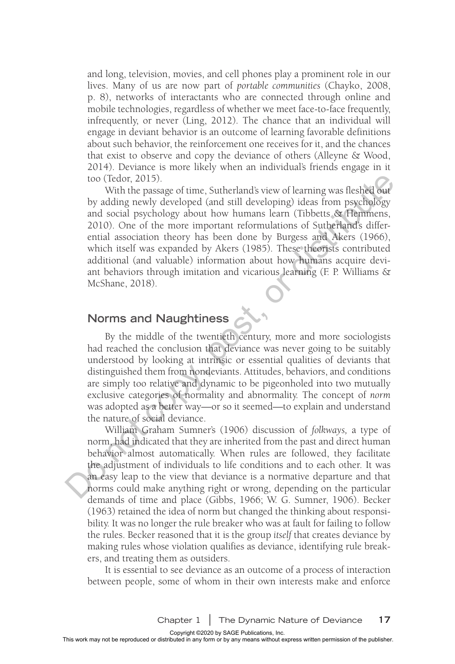and long, television, movies, and cell phones play a prominent role in our lives. Many of us are now part of *portable communities* (Chayko, 2008, p. 8), networks of interactants who are connected through online and mobile technologies, regardless of whether we meet face-to-face frequently, infrequently, or never (Ling, 2012). The chance that an individual will engage in deviant behavior is an outcome of learning favorable definitions about such behavior, the reinforcement one receives for it, and the chances that exist to observe and copy the deviance of others (Alleyne & Wood, 2014). Deviance is more likely when an individual's friends engage in it too (Tedor, 2015).

With the passage of time, Sutherland's view of learning was fleshed out by adding newly developed (and still developing) ideas from psychology and social psychology about how humans learn (Tibbetts & Hemmens, 2010). One of the more important reformulations of Sutherland's differential association theory has been done by Burgess and Akers (1966), which itself was expanded by Akers (1985). These theorists contributed additional (and valuable) information about how humans acquire deviant behaviors through imitation and vicarious learning (F. P. Williams & McShane, 2018). too (Tedor, 2015).<br>
Which he passage of time, Sutherland's view of learning was fleshed out<br>
Why diding newly developed (and still developing) ideas from psychology<br>
and social psychology about how humans learn (Tibbetts,

# **Norms and Naughtiness**

By the middle of the twentieth century, more and more sociologists had reached the conclusion that deviance was never going to be suitably understood by looking at intrinsic or essential qualities of deviants that distinguished them from nondeviants. Attitudes, behaviors, and conditions are simply too relative and dynamic to be pigeonholed into two mutually exclusive categories of normality and abnormality. The concept of *norm* was adopted as a better way—or so it seemed—to explain and understand the nature of social deviance.

William Graham Sumner's (1906) discussion of *folkways,* a type of norm, had indicated that they are inherited from the past and direct human behavior almost automatically. When rules are followed, they facilitate the adjustment of individuals to life conditions and to each other. It was an easy leap to the view that deviance is a normative departure and that norms could make anything right or wrong, depending on the particular demands of time and place (Gibbs, 1966; W. G. Sumner, 1906). Becker (1963) retained the idea of norm but changed the thinking about responsibility. It was no longer the rule breaker who was at fault for failing to follow the rules. Becker reasoned that it is the group *itself* that creates deviance by making rules whose violation qualifies as deviance, identifying rule breakers, and treating them as outsiders.

It is essential to see deviance as an outcome of a process of interaction between people, some of whom in their own interests make and enforce

Chapter 1 | The Dynamic Nature of Deviance **17**

Copyright ©2020 by SAGE Publications, Inc.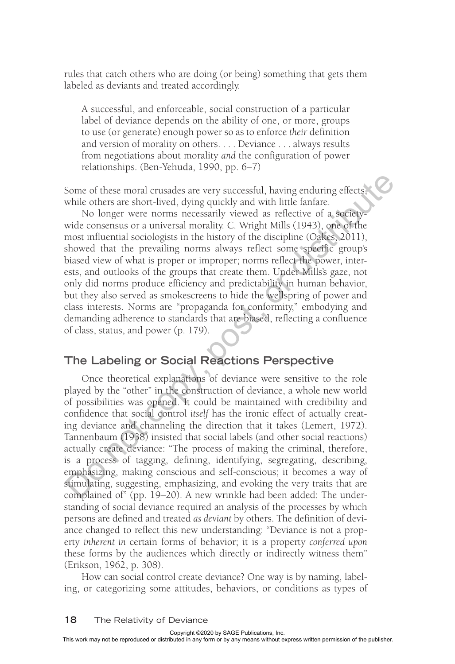rules that catch others who are doing (or being) something that gets them labeled as deviants and treated accordingly.

A successful, and enforceable, social construction of a particular label of deviance depends on the ability of one, or more, groups to use (or generate) enough power so as to enforce *their* definition and version of morality on others. . . . Deviance . . . always results from negotiations about morality *and* the configuration of power relationships. (Ben-Yehuda, 1990, pp. 6–7)

Some of these moral crusades are very successful, having enduring effects, while others are short-lived, dying quickly and with little fanfare.

No longer were norms necessarily viewed as reflective of a societywide consensus or a universal morality. C. Wright Mills (1943), one of the most influential sociologists in the history of the discipline (Oakes, 2011), showed that the prevailing norms always reflect some specific group's biased view of what is proper or improper; norms reflect the power, interests, and outlooks of the groups that create them. Under Mills's gaze, not only did norms produce efficiency and predictability in human behavior, but they also served as smokescreens to hide the wellspring of power and class interests. Norms are "propaganda for conformity," embodying and demanding adherence to standards that are biased, reflecting a confluence of class, status, and power (p. 179). Some of these moral crusades are very successful, having enduring effects.<br>
While others are short-lived, dying quickly and with little fanfare.<br>
No longer were norms necessarily viewed as reflective of a sofecular<br>
wide c

#### **The Labeling or Social Reactions Perspective**

Once theoretical explanations of deviance were sensitive to the role played by the "other" in the construction of deviance, a whole new world of possibilities was opened. It could be maintained with credibility and confidence that social control *itself* has the ironic effect of actually creating deviance and channeling the direction that it takes (Lemert, 1972). Tannenbaum (1938) insisted that social labels (and other social reactions) actually create deviance: "The process of making the criminal, therefore, is a process of tagging, defining, identifying, segregating, describing, emphasizing, making conscious and self-conscious; it becomes a way of stimulating, suggesting, emphasizing, and evoking the very traits that are complained of" (pp. 19–20). A new wrinkle had been added: The understanding of social deviance required an analysis of the processes by which persons are defined and treated *as deviant* by others. The definition of deviance changed to reflect this new understanding: "Deviance is not a property *inherent in* certain forms of behavior; it is a property *conferred upon* these forms by the audiences which directly or indirectly witness them" (Erikson, 1962, p. 308).

How can social control create deviance? One way is by naming, labeling, or categorizing some attitudes, behaviors, or conditions as types of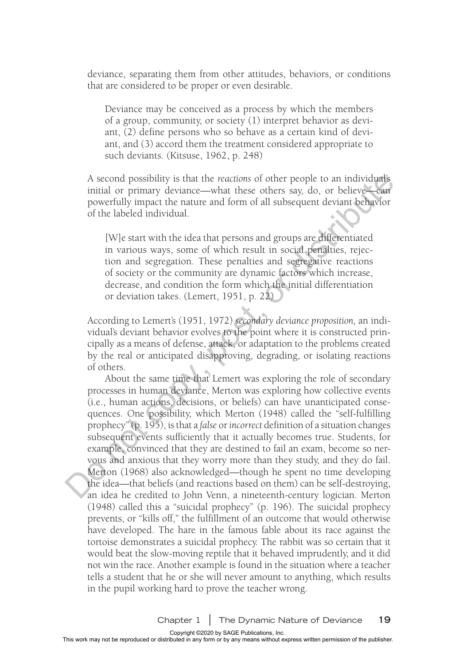deviance, separating them from other attitudes, behaviors, or conditions that are considered to be proper or even desirable.

Deviance may be conceived as a process by which the members of a group, community, or society (1) interpret behavior as deviant, (2) define persons who so behave as a certain kind of deviant, and (3) accord them the treatment considered appropriate to such deviants. (Kitsuse, 1962, p. 248)

A second possibility is that the *reactions* of other people to an individual's initial or primary deviance—what these others say, do, or believe—can powerfully impact the nature and form of all subsequent deviant behavior of the labeled individual.

[W]e start with the idea that persons and groups are differentiated in various ways, some of which result in social penalties, rejection and segregation. These penalties and segregative reactions of society or the community are dynamic factors which increase, decrease, and condition the form which the initial differentiation or deviation takes. (Lemert, 1951, p. 22)

According to Lemert's (1951, 1972) *secondary deviance proposition,* an individual's deviant behavior evolves to the point where it is constructed principally as a means of defense, attack, or adaptation to the problems created by the real or anticipated disapproving, degrading, or isolating reactions of others.

About the same time that Lemert was exploring the role of secondary processes in human deviance, Merton was exploring how collective events (i.e., human actions, decisions, or beliefs) can have unanticipated consequences. One possibility, which Merton (1948) called the "self-fulfilling prophecy" (p. 195), is that a *false* or *incorrect* definition of a situation changes subsequent events sufficiently that it actually becomes true. Students, for example, convinced that they are destined to fail an exam, become so nervous and anxious that they worry more than they study, and they do fail. Merton (1968) also acknowledged—though he spent no time developing the idea—that beliefs (and reactions based on them) can be self-destroying, an idea he credited to John Venn, a nineteenth-century logician. Merton (1948) called this a "suicidal prophecy" (p. 196). The suicidal prophecy prevents, or "kills off," the fulfillment of an outcome that would otherwise have developed. The hare in the famous fable about its race against the tortoise demonstrates a suicidal prophecy. The rabbit was so certain that it would beat the slow-moving reptile that it behaved imprudently, and it did not win the race. Another example is found in the situation where a teacher tells a student that he or she will never amount to anything, which results in the pupil working hard to prove the teacher wrong. A second possibility is that the *reactions* of other people to an individuals<br>initial or primary deviate.—what these others say, do, or believe<sup>2</sup>-can<br>powerfully impact the nature and form of all subsequent deviant behav

Chapter 1 | The Dynamic Nature of Deviance **19**

Copyright ©2020 by SAGE Publications, Inc.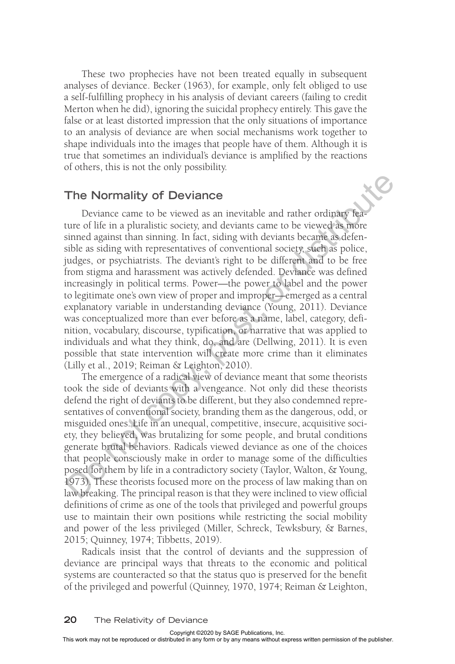These two prophecies have not been treated equally in subsequent analyses of deviance. Becker (1963), for example, only felt obliged to use a self-fulfilling prophecy in his analysis of deviant careers (failing to credit Merton when he did), ignoring the suicidal prophecy entirely. This gave the false or at least distorted impression that the only situations of importance to an analysis of deviance are when social mechanisms work together to shape individuals into the images that people have of them. Although it is true that sometimes an individual's deviance is amplified by the reactions of others, this is not the only possibility.

#### **The Normality of Deviance**

Deviance came to be viewed as an inevitable and rather ordinary feature of life in a pluralistic society, and deviants came to be viewed as more sinned against than sinning. In fact, siding with deviants became as defensible as siding with representatives of conventional society, such as police, judges, or psychiatrists. The deviant's right to be different and to be free from stigma and harassment was actively defended. Deviance was defined increasingly in political terms. Power—the power to label and the power to legitimate one's own view of proper and improper—emerged as a central explanatory variable in understanding deviance (Young, 2011). Deviance was conceptualized more than ever before as a name, label, category, definition, vocabulary, discourse, typification, or narrative that was applied to individuals and what they think, do, and are (Dellwing, 2011). It is even possible that state intervention will create more crime than it eliminates (Lilly et al., 2019; Reiman & Leighton, 2010). The Normality of Deviance<br>
Deviance<br>
Deviance<br>
Deviance<br>
Deviance and to be viewed as an inevitable and rather ordinary<br>
ture of life in a pluralistic society, and deviants came to be viewed as a<br>
netword as siding with dr

The emergence of a radical view of deviance meant that some theorists took the side of deviants with a vengeance. Not only did these theorists defend the right of deviants to be different, but they also condemned representatives of conventional society, branding them as the dangerous, odd, or misguided ones. Life in an unequal, competitive, insecure, acquisitive society, they believed, was brutalizing for some people, and brutal conditions generate brutal behaviors. Radicals viewed deviance as one of the choices that people consciously make in order to manage some of the difficulties posed for them by life in a contradictory society (Taylor, Walton, & Young, 1973). These theorists focused more on the process of law making than on law breaking. The principal reason is that they were inclined to view official definitions of crime as one of the tools that privileged and powerful groups use to maintain their own positions while restricting the social mobility and power of the less privileged (Miller, Schreck, Tewksbury, & Barnes, 2015; Quinney, 1974; Tibbetts, 2019).

Radicals insist that the control of deviants and the suppression of deviance are principal ways that threats to the economic and political systems are counteracted so that the status quo is preserved for the benefit of the privileged and powerful (Quinney, 1970, 1974; Reiman & Leighton,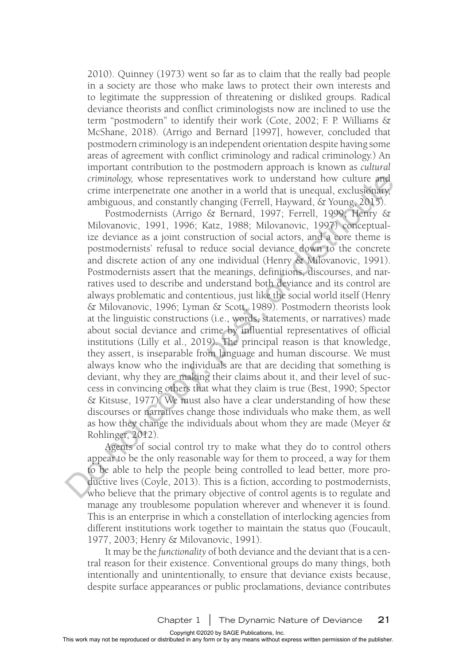2010). Quinney (1973) went so far as to claim that the really bad people in a society are those who make laws to protect their own interests and to legitimate the suppression of threatening or disliked groups. Radical deviance theorists and conflict criminologists now are inclined to use the term "postmodern" to identify their work (Cote, 2002; F. P. Williams & McShane, 2018). (Arrigo and Bernard [1997], however, concluded that postmodern criminology is an independent orientation despite having some areas of agreement with conflict criminology and radical criminology.) An important contribution to the postmodern approach is known as *cultural criminology,* whose representatives work to understand how culture and crime interpenetrate one another in a world that is unequal, exclusionary, ambiguous, and constantly changing (Ferrell, Hayward, & Young, 2015).

Postmodernists (Arrigo & Bernard, 1997; Ferrell, 1999; Henry & Milovanovic, 1991, 1996; Katz, 1988; Milovanovic, 1997) conceptualize deviance as a joint construction of social actors, and a core theme is postmodernists' refusal to reduce social deviance down to the concrete and discrete action of any one individual (Henry & Milovanovic, 1991). Postmodernists assert that the meanings, definitions, discourses, and narratives used to describe and understand both deviance and its control are always problematic and contentious, just like the social world itself (Henry & Milovanovic, 1996; Lyman & Scott, 1989). Postmodern theorists look at the linguistic constructions (i.e., words, statements, or narratives) made about social deviance and crime by influential representatives of official institutions (Lilly et al., 2019). The principal reason is that knowledge, they assert, is inseparable from language and human discourse. We must always know who the individuals are that are deciding that something is deviant, why they are making their claims about it, and their level of success in convincing others that what they claim is true (Best, 1990; Spector & Kitsuse, 1977). We must also have a clear understanding of how these discourses or narratives change those individuals who make them, as well as how they change the individuals about whom they are made (Meyer & Rohlinger, 2012). criminology, whose representatives work to understand how culture and<br>crimin interpentrate one another in a world that is unequal, exclusionary<br>ambiguous, and constantly changing (Ferrell, Hayward, & Young, 2015).<br>Postmod

Agents of social control try to make what they do to control others appear to be the only reasonable way for them to proceed, a way for them to be able to help the people being controlled to lead better, more productive lives (Coyle, 2013). This is a fiction, according to postmodernists, who believe that the primary objective of control agents is to regulate and manage any troublesome population wherever and whenever it is found. This is an enterprise in which a constellation of interlocking agencies from different institutions work together to maintain the status quo (Foucault, 1977, 2003; Henry & Milovanovic, 1991).

It may be the *functionality* of both deviance and the deviant that is a central reason for their existence. Conventional groups do many things, both intentionally and unintentionally, to ensure that deviance exists because, despite surface appearances or public proclamations, deviance contributes

Copyright ©2020 by SAGE Publications, Inc.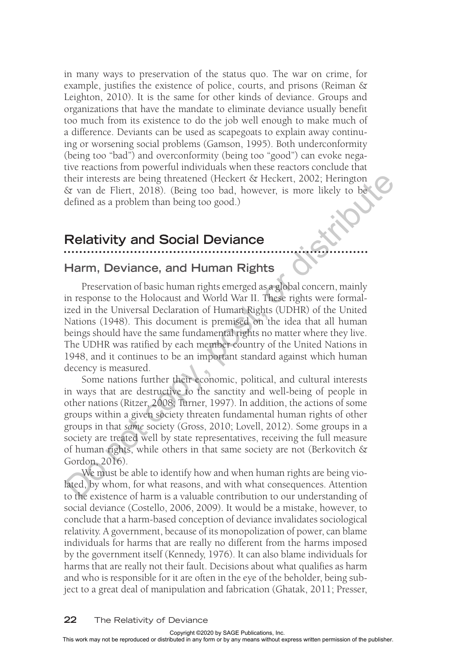in many ways to preservation of the status quo. The war on crime, for example, justifies the existence of police, courts, and prisons (Reiman & Leighton, 2010). It is the same for other kinds of deviance. Groups and organizations that have the mandate to eliminate deviance usually benefit too much from its existence to do the job well enough to make much of a difference. Deviants can be used as scapegoats to explain away continuing or worsening social problems (Gamson, 1995). Both underconformity (being too "bad") and overconformity (being too "good") can evoke negative reactions from powerful individuals when these reactors conclude that their interests are being threatened (Heckert & Heckert, 2002; Herington & van de Fliert, 2018). (Being too bad, however, is more likely to be defined as a problem than being too good.)

#### **Relativity and Social Deviance**

#### **Harm, Deviance, and Human Rights**

Preservation of basic human rights emerged as a global concern, mainly in response to the Holocaust and World War II. These rights were formalized in the Universal Declaration of Human Rights (UDHR) of the United Nations (1948). This document is premised on the idea that all human beings should have the same fundamental rights no matter where they live. The UDHR was ratified by each member country of the United Nations in 1948, and it continues to be an important standard against which human decency is measured. their interests are being threatened (Heckert & Heckert, 2002; Herington<br>
Ex van de Fliert, 2018). (Being too bad, however, is more likely to be<br>
defined as a problem than being too good.)<br> **Relativity and Social Deviance** 

Some nations further their economic, political, and cultural interests in ways that are destructive to the sanctity and well-being of people in other nations (Ritzer, 2008; Turner, 1997). In addition, the actions of some groups within a given society threaten fundamental human rights of other groups in that *same* society (Gross, 2010; Lovell, 2012). Some groups in a society are treated well by state representatives, receiving the full measure of human rights, while others in that same society are not (Berkovitch & Gordon, 2016).

We must be able to identify how and when human rights are being violated, by whom, for what reasons, and with what consequences. Attention to the existence of harm is a valuable contribution to our understanding of social deviance (Costello, 2006, 2009). It would be a mistake, however, to conclude that a harm-based conception of deviance invalidates sociological relativity. A government, because of its monopolization of power, can blame individuals for harms that are really no different from the harms imposed by the government itself (Kennedy, 1976). It can also blame individuals for harms that are really not their fault. Decisions about what qualifies as harm and who is responsible for it are often in the eye of the beholder, being subject to a great deal of manipulation and fabrication (Ghatak, 2011; Presser,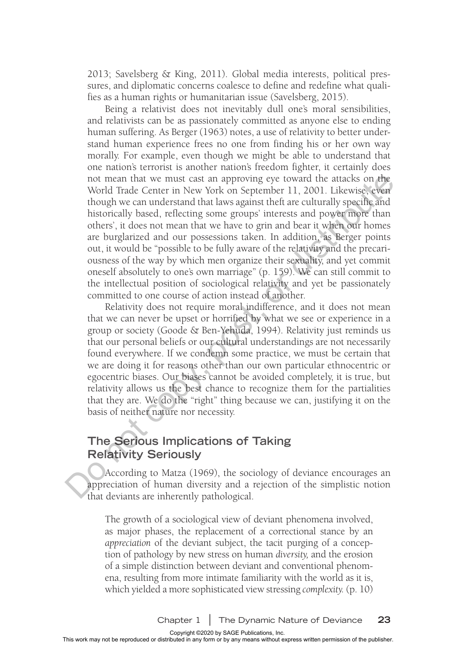2013; Savelsberg & King, 2011). Global media interests, political pressures, and diplomatic concerns coalesce to define and redefine what qualifies as a human rights or humanitarian issue (Savelsberg, 2015).

Being a relativist does not inevitably dull one's moral sensibilities, and relativists can be as passionately committed as anyone else to ending human suffering. As Berger (1963) notes, a use of relativity to better understand human experience frees no one from finding his or her own way morally. For example, even though we might be able to understand that one nation's terrorist is another nation's freedom fighter, it certainly does not mean that we must cast an approving eye toward the attacks on the World Trade Center in New York on September 11, 2001. Likewise, even though we can understand that laws against theft are culturally specific and historically based, reflecting some groups' interests and power more than others', it does not mean that we have to grin and bear it when our homes are burglarized and our possessions taken. In addition, as Berger points out, it would be "possible to be fully aware of the relativity and the precariousness of the way by which men organize their sexuality, and yet commit oneself absolutely to one's own marriage" (p. 159). We can still commit to the intellectual position of sociological relativity and yet be passionately committed to one course of action instead of another. not mean that we must cast an approving eye toward the attacks on the<br>World Trade Center in New York on September 11, 2001. Likewise, even<br>though we can understand that Maxs against theft are culturally specifie and<br>histor

Relativity does not require moral indifference, and it does not mean that we can never be upset or horrified by what we see or experience in a group or society (Goode & Ben-Yehuda, 1994). Relativity just reminds us that our personal beliefs or our cultural understandings are not necessarily found everywhere. If we condemn some practice, we must be certain that we are doing it for reasons other than our own particular ethnocentric or egocentric biases. Our biases cannot be avoided completely, it is true, but relativity allows us the best chance to recognize them for the partialities that they are. We do the "right" thing because we can, justifying it on the basis of neither nature nor necessity.

#### **The Serious Implications of Taking Relativity Seriously**

According to Matza (1969), the sociology of deviance encourages an appreciation of human diversity and a rejection of the simplistic notion that deviants are inherently pathological.

The growth of a sociological view of deviant phenomena involved, as major phases, the replacement of a correctional stance by an *appreciation* of the deviant subject, the tacit purging of a conception of pathology by new stress on human *diversity,* and the erosion of a simple distinction between deviant and conventional phenomena, resulting from more intimate familiarity with the world as it is, which yielded a more sophisticated view stressing *complexity.* (p. 10)

Chapter 1 | The Dynamic Nature of Deviance **23**

Copyright ©2020 by SAGE Publications, Inc.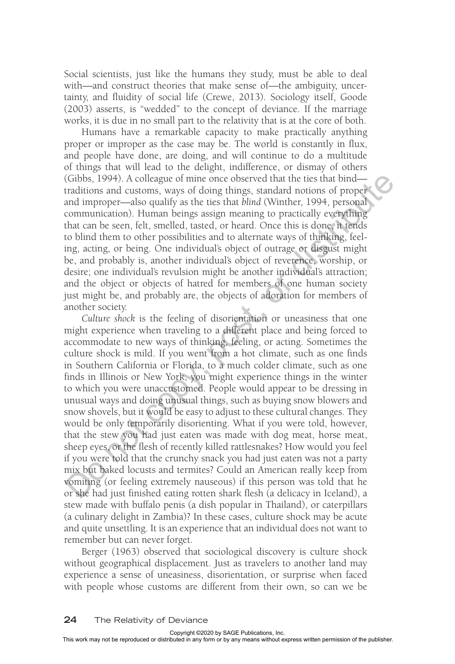Social scientists, just like the humans they study, must be able to deal with—and construct theories that make sense of—the ambiguity, uncertainty, and fluidity of social life (Crewe, 2013). Sociology itself, Goode (2003) asserts, is "wedded" to the concept of deviance. If the marriage works, it is due in no small part to the relativity that is at the core of both.

Humans have a remarkable capacity to make practically anything proper or improper as the case may be. The world is constantly in flux, and people have done, are doing, and will continue to do a multitude of things that will lead to the delight, indifference, or dismay of others (Gibbs, 1994). A colleague of mine once observed that the ties that bind traditions and customs, ways of doing things, standard notions of proper and improper—also qualify as the ties that *blind* (Winther, 1994, personal communication). Human beings assign meaning to practically everything that can be seen, felt, smelled, tasted, or heard. Once this is done, it tends to blind them to other possibilities and to alternate ways of thinking, feeling, acting, or being. One individual's object of outrage or disgust might be, and probably is, another individual's object of reverence, worship, or desire; one individual's revulsion might be another individual's attraction; and the object or objects of hatred for members of one human society just might be, and probably are, the objects of adoration for members of another society.

*Culture shock* is the feeling of disorientation or uneasiness that one might experience when traveling to a different place and being forced to accommodate to new ways of thinking, feeling, or acting. Sometimes the culture shock is mild. If you went from a hot climate, such as one finds in Southern California or Florida, to a much colder climate, such as one finds in Illinois or New York, you might experience things in the winter to which you were unaccustomed. People would appear to be dressing in unusual ways and doing unusual things, such as buying snow blowers and snow shovels, but it would be easy to adjust to these cultural changes. They would be only temporarily disorienting. What if you were told, however, that the stew you had just eaten was made with dog meat, horse meat, sheep eyes, or the flesh of recently killed rattlesnakes? How would you feel if you were told that the crunchy snack you had just eaten was not a party mix but baked locusts and termites? Could an American really keep from vomiting (or feeling extremely nauseous) if this person was told that he or she had just finished eating rotten shark flesh (a delicacy in Iceland), a stew made with buffalo penis (a dish popular in Thailand), or caterpillars (a culinary delight in Zambia)? In these cases, culture shock may be acute and quite unsettling. It is an experience that an individual does not want to remember but can never forget. (Gibbs, 1994). A colleague of mine once observed that the ties that bind—<br>traditions and customs, way of doing things, standard notions of proper-<br>and improper—also quality as the ties that *blind* (Winther, 1994, personal

Berger (1963) observed that sociological discovery is culture shock without geographical displacement. Just as travelers to another land may experience a sense of uneasiness, disorientation, or surprise when faced with people whose customs are different from their own, so can we be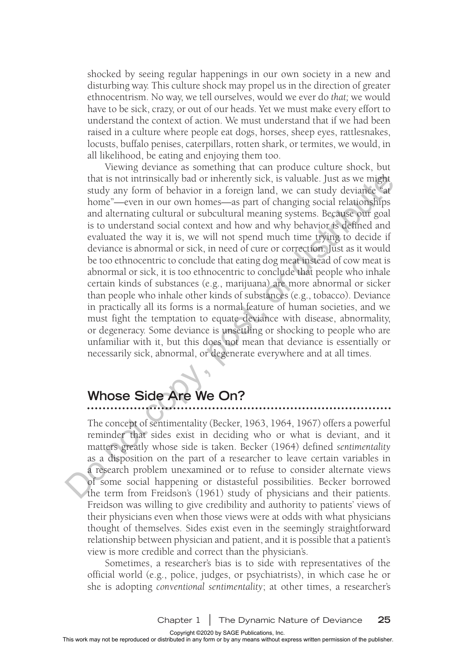shocked by seeing regular happenings in our own society in a new and disturbing way. This culture shock may propel us in the direction of greater ethnocentrism. No way, we tell ourselves, would we ever do *that;* we would have to be sick, crazy, or out of our heads. Yet we must make every effort to understand the context of action. We must understand that if we had been raised in a culture where people eat dogs, horses, sheep eyes, rattlesnakes, locusts, buffalo penises, caterpillars, rotten shark, or termites, we would, in all likelihood, be eating and enjoying them too.

Viewing deviance as something that can produce culture shock, but that is not intrinsically bad or inherently sick, is valuable. Just as we might study any form of behavior in a foreign land, we can study deviance "at home"—even in our own homes—as part of changing social relationships and alternating cultural or subcultural meaning systems. Because our goal is to understand social context and how and why behavior is defined and evaluated the way it is, we will not spend much time trying to decide if deviance is abnormal or sick, in need of cure or correction. Just as it would be too ethnocentric to conclude that eating dog meat instead of cow meat is abnormal or sick, it is too ethnocentric to conclude that people who inhale certain kinds of substances (e.g., marijuana) are more abnormal or sicker than people who inhale other kinds of substances (e.g., tobacco). Deviance in practically all its forms is a normal feature of human societies, and we must fight the temptation to equate deviance with disease, abnormality, or degeneracy. Some deviance is unsettling or shocking to people who are unfamiliar with it, but this does not mean that deviance is essentially or necessarily sick, abnormal, or degenerate everywhere and at all times. that is not intrinsically bad or inherently sick, is valuable. Just as we might<br>study any form of behavior in a foreign land, we can study devained<br>as home"—even in our own homes—as part of changing social relationships<br>an

# **Whose Side Are We On?**

The concept of sentimentality (Becker, 1963, 1964, 1967) offers a powerful reminder that sides exist in deciding who or what is deviant, and it matters greatly whose side is taken. Becker (1964) defined *sentimentality* as a disposition on the part of a researcher to leave certain variables in a research problem unexamined or to refuse to consider alternate views of some social happening or distasteful possibilities. Becker borrowed the term from Freidson's (1961) study of physicians and their patients. Freidson was willing to give credibility and authority to patients' views of their physicians even when those views were at odds with what physicians thought of themselves. Sides exist even in the seemingly straightforward relationship between physician and patient, and it is possible that a patient's view is more credible and correct than the physician's.

Sometimes, a researcher's bias is to side with representatives of the official world (e.g., police, judges, or psychiatrists), in which case he or she is adopting *conventional sentimentality*; at other times, a researcher's

Chapter 1 | The Dynamic Nature of Deviance **25**

Copyright ©2020 by SAGE Publications, Inc.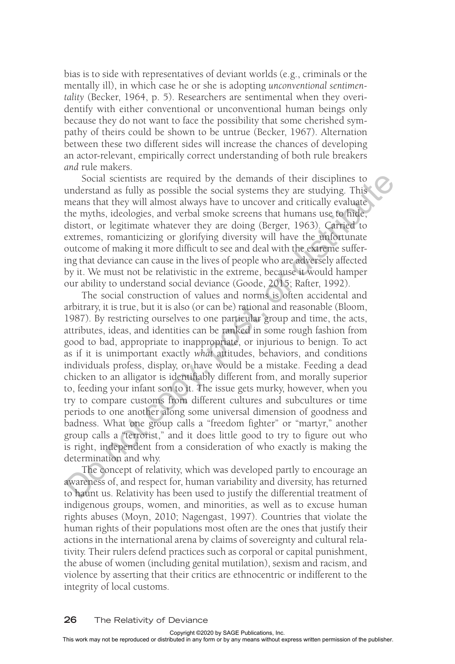bias is to side with representatives of deviant worlds (e.g., criminals or the mentally ill), in which case he or she is adopting *unconventional sentimentality* (Becker, 1964, p. 5). Researchers are sentimental when they overidentify with either conventional or unconventional human beings only because they do not want to face the possibility that some cherished sympathy of theirs could be shown to be untrue (Becker, 1967). Alternation between these two different sides will increase the chances of developing an actor-relevant, empirically correct understanding of both rule breakers *and* rule makers.

Social scientists are required by the demands of their disciplines to understand as fully as possible the social systems they are studying. This means that they will almost always have to uncover and critically evaluate the myths, ideologies, and verbal smoke screens that humans use to hide, distort, or legitimate whatever they are doing (Berger, 1963). Carried to extremes, romanticizing or glorifying diversity will have the unfortunate outcome of making it more difficult to see and deal with the extreme suffering that deviance can cause in the lives of people who are adversely affected by it. We must not be relativistic in the extreme, because it would hamper our ability to understand social deviance (Goode, 2015; Rafter, 1992).

The social construction of values and norms is often accidental and arbitrary, it is true, but it is also (or can be) rational and reasonable (Bloom, 1987). By restricting ourselves to one particular group and time, the acts, attributes, ideas, and identities can be ranked in some rough fashion from good to bad, appropriate to inappropriate, or injurious to benign. To act as if it is unimportant exactly *what* attitudes, behaviors, and conditions individuals profess, display, or have would be a mistake. Feeding a dead chicken to an alligator is identifiably different from, and morally superior to, feeding your infant son to it. The issue gets murky, however, when you try to compare customs from different cultures and subcultures or time periods to one another along some universal dimension of goodness and badness. What one group calls a "freedom fighter" or "martyr," another group calls a "terrorist," and it does little good to try to figure out who is right, independent from a consideration of who exactly is making the determination and why. Social scientists are required by the demands of their disciplines to<br>
understand as fully as possible the social systems they are entidying. This<br>
unears that they will almost always have to uncover and critically evaluat

The concept of relativity, which was developed partly to encourage an awareness of, and respect for, human variability and diversity, has returned to haunt us. Relativity has been used to justify the differential treatment of indigenous groups, women, and minorities, as well as to excuse human rights abuses (Moyn, 2010; Nagengast, 1997). Countries that violate the human rights of their populations most often are the ones that justify their actions in the international arena by claims of sovereignty and cultural relativity. Their rulers defend practices such as corporal or capital punishment, the abuse of women (including genital mutilation), sexism and racism, and violence by asserting that their critics are ethnocentric or indifferent to the integrity of local customs.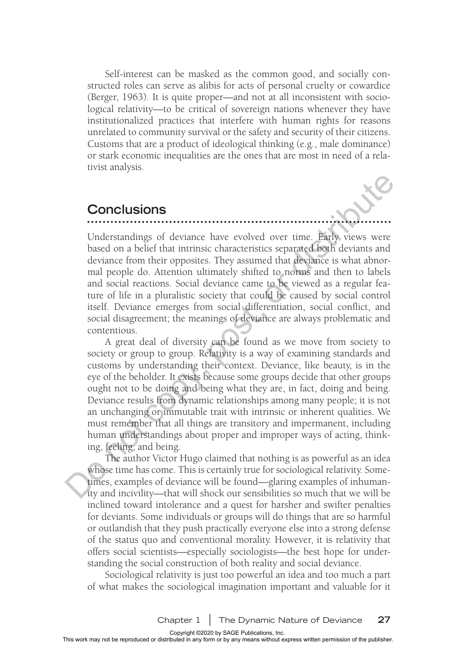Self-interest can be masked as the common good, and socially constructed roles can serve as alibis for acts of personal cruelty or cowardice (Berger, 1963). It is quite proper—and not at all inconsistent with sociological relativity—to be critical of sovereign nations whenever they have institutionalized practices that interfere with human rights for reasons unrelated to community survival or the safety and security of their citizens. Customs that are a product of ideological thinking (e.g., male dominance) or stark economic inequalities are the ones that are most in need of a relativist analysis.

# **Conclusions**

Understandings of deviance have evolved over time. Early views were based on a belief that intrinsic characteristics separated both deviants and deviance from their opposites. They assumed that deviance is what abnormal people do. Attention ultimately shifted to norms and then to labels and social reactions. Social deviance came to be viewed as a regular feature of life in a pluralistic society that could be caused by social control itself. Deviance emerges from social differentiation, social conflict, and social disagreement; the meanings of deviance are always problematic and contentious.

A great deal of diversity can be found as we move from society to society or group to group. Relativity is a way of examining standards and customs by understanding their context. Deviance, like beauty, is in the eye of the beholder. It exists because some groups decide that other groups ought not to be doing and being what they are, in fact, doing and being. Deviance results from dynamic relationships among many people; it is not an unchanging or immutable trait with intrinsic or inherent qualities. We must remember that all things are transitory and impermanent, including human understandings about proper and improper ways of acting, thinking, feeling, and being. **Conclusions**<br>
Understandings of deviance have evolved over time. Party views were<br>
based on a belief that intrinic characteristics separated both deviants and<br>
deviance from their opposites. They assumed that deviance is

The author Victor Hugo claimed that nothing is as powerful as an idea whose time has come. This is certainly true for sociological relativity. Sometimes, examples of deviance will be found—glaring examples of inhumanity and incivility—that will shock our sensibilities so much that we will be inclined toward intolerance and a quest for harsher and swifter penalties for deviants. Some individuals or groups will do things that are so harmful or outlandish that they push practically everyone else into a strong defense of the status quo and conventional morality. However, it is relativity that offers social scientists—especially sociologists—the best hope for understanding the social construction of both reality and social deviance.

Sociological relativity is just too powerful an idea and too much a part of what makes the sociological imagination important and valuable for it

Chapter 1 | The Dynamic Nature of Deviance **27**

Copyright ©2020 by SAGE Publications, Inc.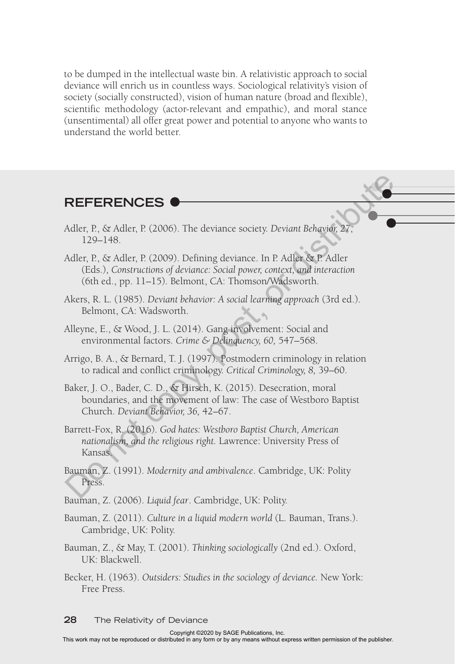to be dumped in the intellectual waste bin. A relativistic approach to social deviance will enrich us in countless ways. Sociological relativity's vision of society (socially constructed), vision of human nature (broad and flexible), scientific methodology (actor-relevant and empathic), and moral stance (unsentimental) all offer great power and potential to anyone who wants to understand the world better.

## **REFERENCES**

- Adler, P., & Adler, P. (2006). The deviance society. *Deviant Behavior, 27*, 129–148.
- Adler, P., & Adler, P. (2009). Defining deviance. In P. Adler & P. Adler (Eds.), *Constructions of deviance: Social power, context, and interaction* (6th ed., pp. 11–15). Belmont, CA: Thomson/Wadsworth.
- Akers, R. L. (1985). *Deviant behavior: A social learning approach* (3rd ed.). Belmont, CA: Wadsworth.
- Alleyne, E., & Wood, J. L. (2014). Gang involvement: Social and environmental factors. *Crime & Delinquency, 60,* 547–568.
- Arrigo, B. A., & Bernard, T. J. (1997). Postmodern criminology in relation to radical and conflict criminology. *Critical Criminology, 8,* 39–60.
- Baker, J. O., Bader, C. D., & Hirsch, K. (2015). Desecration, moral boundaries, and the movement of law: The case of Westboro Baptist Church. *Deviant Behavior, 36,* 42–67. **REFERENCES Compared Comparison**<br>
Adler, P., & Adler, P. (2006). The deviance society. *Deviant Behavior*, 27;<br>
129–148.<br>
Adler, P., & Adler, P. (2009). Defining deviance. In P. Adler & P. Adler<br>
(Eds.), *Constructions of*
- Barrett-Fox, R. (2016). *God hates: Westboro Baptist Church, American nationalism, and the religious right.* Lawrence: University Press of Kansas.
- Bauman, Z. (1991). *Modernity and ambivalence*. Cambridge, UK: Polity Press.
- Bauman, Z. (2006). *Liquid fear*. Cambridge, UK: Polity.
- Bauman, Z. (2011). *Culture in a liquid modern world* (L. Bauman, Trans.). Cambridge, UK: Polity.
- Bauman, Z., & May, T. (2001). *Thinking sociologically* (2nd ed.). Oxford, UK: Blackwell.
- Becker, H. (1963). *Outsiders: Studies in the sociology of deviance.* New York: Free Press.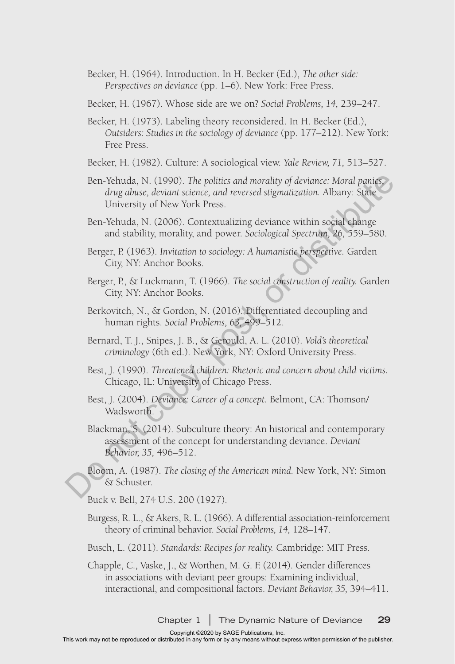- Becker, H. (1964). Introduction. In H. Becker (Ed.), *The other side: Perspectives on deviance* (pp. 1–6). New York: Free Press.
- Becker, H. (1967). Whose side are we on? *Social Problems, 14,* 239–247.
- Becker, H. (1973). Labeling theory reconsidered. In H. Becker (Ed.), *Outsiders: Studies in the sociology of deviance* (pp. 177–212). New York: Free Press.
- Becker, H. (1982). Culture: A sociological view. *Yale Review, 71,* 513–527.
- Ben-Yehuda, N. (1990). *The politics and morality of deviance: Moral panics, drug abuse, deviant science, and reversed stigmatization.* Albany: State University of New York Press. Ben-Yehuda, N. (1990). The politics and morality of deviance: Moral panics,<br>
drug abuse, deviant science, and reversed stigmatization. Albany: State<br>
University of New York Press.<br>
Ben-Yehuda, N. (2006). Contextualizing d
	- Ben-Yehuda, N. (2006). Contextualizing deviance within social change and stability, morality, and power. *Sociological Spectrum, 26,* 559–580.
	- Berger, P. (1963). *Invitation to sociology: A humanistic perspective.* Garden City, NY: Anchor Books.
	- Berger, P., & Luckmann, T. (1966). *The social construction of reality.* Garden City, NY: Anchor Books.
	- Berkovitch, N., & Gordon, N. (2016). Differentiated decoupling and human rights. *Social Problems, 63,* 499–512.
	- Bernard, T. J., Snipes, J. B., & Gerould, A. L. (2010). *Vold's theoretical criminology* (6th ed.). New York, NY: Oxford University Press.
	- Best, J. (1990). *Threatened children: Rhetoric and concern about child victims.* Chicago, IL: University of Chicago Press.
	- Best, J. (2004). *Deviance: Career of a concept.* Belmont, CA: Thomson/ Wadsworth.
	- Blackman, S. (2014). Subculture theory: An historical and contemporary assessment of the concept for understanding deviance. *Deviant Behavior, 35,* 496–512.
	- Bloom, A. (1987). *The closing of the American mind.* New York, NY: Simon & Schuster.

Buck v. Bell, 274 U.S. 200 (1927).

- Burgess, R. L., & Akers, R. L. (1966). A differential association-reinforcement theory of criminal behavior. *Social Problems, 14,* 128–147.
- Busch, L. (2011). *Standards: Recipes for reality.* Cambridge: MIT Press.

Chapple, C., Vaske, J., & Worthen, M. G. F. (2014). Gender differences in associations with deviant peer groups: Examining individual, interactional, and compositional factors. *Deviant Behavior, 35,* 394–411.

Copyright ©2020 by SAGE Publications, Inc.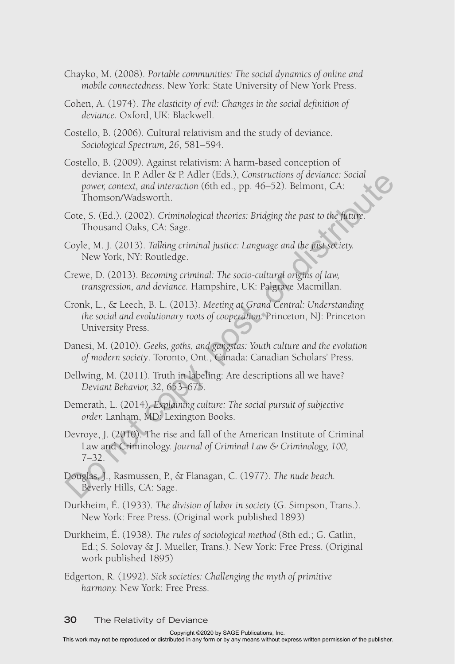- Chayko, M. (2008). *Portable communities: The social dynamics of online and mobile connectedness*. New York: State University of New York Press.
- Cohen, A. (1974). *The elasticity of evil: Changes in the social definition of deviance.* Oxford, UK: Blackwell.
- Costello, B. (2006). Cultural relativism and the study of deviance. *Sociological Spectrum, 26*, 581–594.
- Costello, B. (2009). Against relativism: A harm-based conception of deviance. In P. Adler & P. Adler (Eds.), *Constructions of deviance: Social power, context, and interaction* (6th ed., pp. 46–52). Belmont, CA: Thomson/Wadsworth.
- Cote, S. (Ed.). (2002). *Criminological theories: Bridging the past to the future.* Thousand Oaks, CA: Sage.
- Coyle, M. J. (2013). *Talking criminal justice: Language and the just society.* New York, NY: Routledge.
- Crewe, D. (2013). *Becoming criminal: The socio-cultural origins of law, transgression, and deviance.* Hampshire, UK: Palgrave Macmillan.
- Cronk, L., & Leech, B. L. (2013). *Meeting at Grand Central: Understanding the social and evolutionary roots of cooperation.* Princeton, NJ: Princeton University Press.
- Danesi, M. (2010). *Geeks, goths, and gangstas: Youth culture and the evolution of modern society*. Toronto, Ont., Canada: Canadian Scholars' Press.
- Dellwing, M. (2011). Truth in labeling: Are descriptions all we have? *Deviant Behavior, 32*, 653–675.
- Demerath, L. (2014). *Explaining culture: The social pursuit of subjective order.* Lanham, MD: Lexington Books.
- Devroye, J. (2010). The rise and fall of the American Institute of Criminal Law and Criminology. *Journal of Criminal Law & Criminology, 100,* 7–32. devalue. In P. Adeler Y. P. Adeler Cats.), Constructions of avvalue. Collamore power, context, and interaction (6th ed., pp. 46–52). Belmont, CA:<br>
Thomson/Wadsworth.<br>
Cote, S. (Ed.), (2002). Criminological theories: Bridgi
- Douglas, J., Rasmussen, P., & Flanagan, C. (1977). *The nude beach.* Beverly Hills, CA: Sage.
- Durkheim, É. (1933). *The division of labor in society* (G. Simpson, Trans.). New York: Free Press. (Original work published 1893)
- Durkheim, É. (1938). *The rules of sociological method* (8th ed.; G. Catlin, Ed.; S. Solovay & J. Mueller, Trans.). New York: Free Press. (Original work published 1895)
- Edgerton, R. (1992). *Sick societies: Challenging the myth of primitive harmony.* New York: Free Press.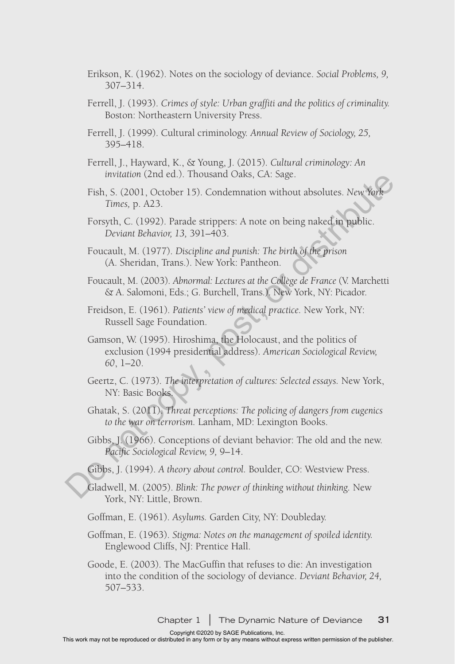- Erikson, K. (1962). Notes on the sociology of deviance. *Social Problems, 9,* 307–314.
- Ferrell, J. (1993). *Crimes of style: Urban graffiti and the politics of criminality.* Boston: Northeastern University Press.
- Ferrell, J. (1999). Cultural criminology. *Annual Review of Sociology, 25,* 395–418.
- Ferrell, J., Hayward, K., & Young, J. (2015). *Cultural criminology: An invitation* (2nd ed.). Thousand Oaks, CA: Sage.
- Fish, S. (2001, October 15). Condemnation without absolutes. *New York Times,* p. A23.
- Forsyth, C. (1992). Parade strippers: A note on being naked in public. *Deviant Behavior, 13,* 391–403.
- Foucault, M. (1977). *Discipline and punish: The birth of the prison* (A. Sheridan, Trans.). New York: Pantheon.
- Foucault, M. (2003). *Abnormal: Lectures at the Collège de France* (V. Marchetti & A. Salomoni, Eds.; G. Burchell, Trans.). New York, NY: Picador.
- Freidson, E. (1961). *Patients' view of medical practice.* New York, NY: Russell Sage Foundation.
- Gamson, W. (1995). Hiroshima, the Holocaust, and the politics of exclusion (1994 presidential address). *American Sociological Review, 60*, 1–20. invitation (2nd ed.). Inousand Oaks, CA: Sage.<br>
Fish, S. (2001), October 15). Condemnation without absolutes. New York<br>
Times, p. A23.<br>
Forsyth, C. (1992). Parade strippers: A note on being naked in public.<br>
Doctault, M. (
	- Geertz, C. (1973). *The interpretation of cultures: Selected essays.* New York, NY: Basic Books.
	- Ghatak, S. (2011). *Threat perceptions: The policing of dangers from eugenics to the war on terrorism.* Lanham, MD: Lexington Books.
	- Gibbs, J. (1966). Conceptions of deviant behavior: The old and the new. *Pacific Sociological Review, 9,* 9–14.
	- Gibbs, J. (1994). *A theory about control.* Boulder, CO: Westview Press.
	- Gladwell, M. (2005). *Blink: The power of thinking without thinking.* New York, NY: Little, Brown.
	- Goffman, E. (1961). *Asylums.* Garden City, NY: Doubleday.
	- Goffman, E. (1963). *Stigma: Notes on the management of spoiled identity.* Englewood Cliffs, NJ: Prentice Hall.
	- Goode, E. (2003). The MacGuffin that refuses to die: An investigation into the condition of the sociology of deviance. *Deviant Behavior, 24,* 507–533.

Copyright ©2020 by SAGE Publications, Inc.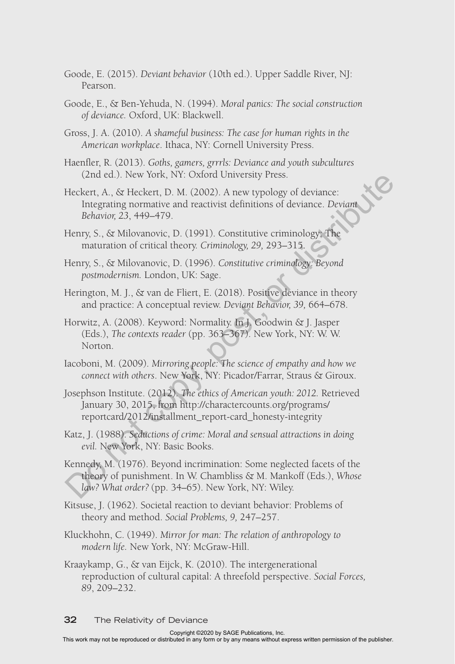- Goode, E. (2015). *Deviant behavior* (10th ed.). Upper Saddle River, NJ: Pearson.
- Goode, E., & Ben-Yehuda, N. (1994). *Moral panics: The social construction of deviance.* Oxford, UK: Blackwell.
- Gross, J. A. (2010). *A shameful business: The case for human rights in the American workplace*. Ithaca, NY: Cornell University Press.
- Haenfler, R. (2013). *Goths, gamers, grrrls: Deviance and youth subcultures* (2nd ed.). New York, NY: Oxford University Press.
- Heckert, A., & Heckert, D. M. (2002). A new typology of deviance: Integrating normative and reactivist definitions of deviance. *Deviant Behavior, 23*, 449–479.
- Henry, S., & Milovanovic, D. (1991). Constitutive criminology: The maturation of critical theory. *Criminology, 29,* 293–315.
- Henry, S., & Milovanovic, D. (1996). *Constitutive criminology: Beyond postmodernism.* London, UK: Sage.
- Herington, M. J., & van de Fliert, E. (2018). Positive deviance in theory and practice: A conceptual review. *Deviant Behavior, 39,* 664–678.
- Horwitz, A. (2008). Keyword: Normality. In J. Goodwin & J. Jasper (Eds.), *The contexts reader* (pp. 363–367). New York, NY: W. W. Norton.
- Iacoboni, M. (2009). *Mirroring people: The science of empathy and how we connect with others*. New York, NY: Picador/Farrar, Straus & Giroux.
- Josephson Institute. (2012). *The ethics of American youth: 2012.* Retrieved January 30, 2015, from http://charactercounts.org/programs/ reportcard/2012/installment\_report-card\_honesty-integrity (2nd ed.). New York, NY: Oxford University Press.<br>
Heckert, A., & Heckert, D. M. (2002). A new typology of deviance:<br>
Integrating normative and reactivist definitions of deviance. *Deviant*<br> *Behavior*, 23, 449–479.<br>
Henr
- Katz, J. (1988). *Seductions of crime: Moral and sensual attractions in doing evil.* New York, NY: Basic Books.
- Kennedy, M. (1976). Beyond incrimination: Some neglected facets of the theory of punishment. In W. Chambliss & M. Mankoff (Eds.), *Whose law? What order?* (pp. 34–65). New York, NY: Wiley.
- Kitsuse, J. (1962). Societal reaction to deviant behavior: Problems of theory and method. *Social Problems, 9,* 247–257.
- Kluckhohn, C. (1949). *Mirror for man: The relation of anthropology to modern life.* New York, NY: McGraw-Hill.
- Kraaykamp, G., & van Eijck, K. (2010). The intergenerational reproduction of cultural capital: A threefold perspective. *Social Forces, 89*, 209–232.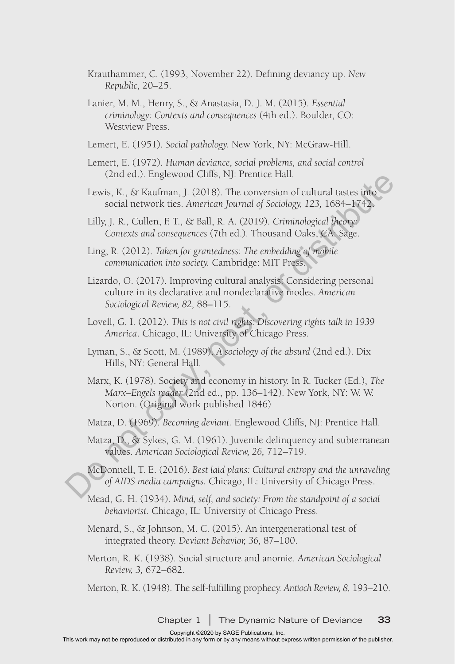- Krauthammer, C. (1993, November 22). Defining deviancy up. *New Republic,* 20–25.
- Lanier, M. M., Henry, S., & Anastasia, D. J. M. (2015). *Essential criminology: Contexts and consequences* (4th ed.). Boulder, CO: Westview Press.
- Lemert, E. (1951). *Social pathology.* New York, NY: McGraw-Hill.
- Lemert, E. (1972). *Human deviance, social problems, and social control* (2nd ed.). Englewood Cliffs, NJ: Prentice Hall.
- Lewis, K., & Kaufman, J. (2018). The conversion of cultural tastes into social network ties. *American Journal of Sociology, 123,* 1684–1742.
- Lilly, J. R., Cullen, F. T., & Ball, R. A. (2019). *Criminological theory: Contexts and consequences* (7th ed.). Thousand Oaks, CA: Sage.
- Ling, R. (2012). *Taken for grantedness: The embedding of mobile communication into society.* Cambridge: MIT Press.
- Lizardo, O. (2017). Improving cultural analysis: Considering personal culture in its declarative and nondeclarative modes. *American Sociological Review, 82,* 88–115.
- Lovell, G. I. (2012). *This is not civil rights: Discovering rights talk in 1939 America*. Chicago, IL: University of Chicago Press.
- Lyman, S., & Scott, M. (1989). *A sociology of the absurd* (2nd ed.). Dix Hills, NY: General Hall.
- Marx, K. (1978). Society and economy in history. In R. Tucker (Ed.), *The Marx–Engels reader* (2nd ed., pp. 136–142). New York, NY: W. W. Norton. (Original work published 1846) (2010) controls, NJ: Prentice Hall.<br>
Lewis, K., & Kaufman, J. (2018). The conversion of cultural tastes in the social network ties. *American Journal of Sociology*, 123, 1684–1743.<br>
Lilly, J. R., Cullen, F. T., & Ball, R.
	- Matza, D. (1969). *Becoming deviant.* Englewood Cliffs, NJ: Prentice Hall.
	- Matza, D., & Sykes, G. M. (1961). Juvenile delinquency and subterranean values. *American Sociological Review, 26,* 712–719.
	- McDonnell, T. E. (2016). *Best laid plans: Cultural entropy and the unraveling of AIDS media campaigns.* Chicago, IL: University of Chicago Press.
	- Mead, G. H. (1934). *Mind, self, and society: From the standpoint of a social behaviorist.* Chicago, IL: University of Chicago Press.
	- Menard, S., & Johnson, M. C. (2015). An intergenerational test of integrated theory. *Deviant Behavior, 36,* 87–100.
	- Merton, R. K. (1938). Social structure and anomie. *American Sociological Review, 3,* 672–682.
	- Merton, R. K. (1948). The self-fulfilling prophecy. *Antioch Review, 8,* 193–210.

Chapter 1 | The Dynamic Nature of Deviance **33**

Copyright ©2020 by SAGE Publications, Inc.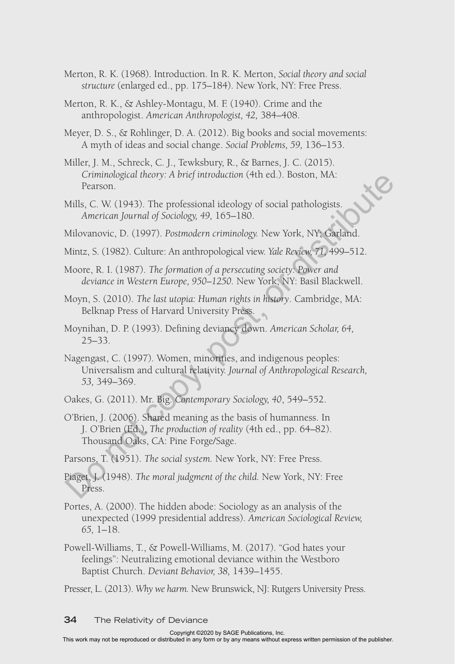- Merton, R. K. (1968). Introduction. In R. K. Merton, *Social theory and social structure* (enlarged ed., pp. 175–184). New York, NY: Free Press.
- Merton, R. K., & Ashley-Montagu, M. F. (1940). Crime and the anthropologist. *American Anthropologist, 42,* 384–408.
- Meyer, D. S., & Rohlinger, D. A. (2012). Big books and social movements: A myth of ideas and social change. *Social Problems, 59,* 136–153.
- Miller, J. M., Schreck, C. J., Tewksbury, R., & Barnes, J. C. (2015). *Criminological theory: A brief introduction* (4th ed.). Boston, MA: Pearson.
- Mills, C. W. (1943). The professional ideology of social pathologists. *American Journal of Sociology, 49,* 165–180.
- Milovanovic, D. (1997). *Postmodern criminology.* New York, NY: Garland.
- Mintz, S. (1982). Culture: An anthropological view. *Yale Review, 71,* 499–512.
- Moore, R. I. (1987). *The formation of a persecuting society: Power and deviance in Western Europe, 950–1250.* New York, NY: Basil Blackwell.
- Moyn, S. (2010). *The last utopia: Human rights in history*. Cambridge, MA: Belknap Press of Harvard University Press.
- Moynihan, D. P. (1993). Defining deviancy down. *American Scholar, 64,* 25–33.
- Nagengast, C. (1997). Women, minorities, and indigenous peoples: Universalism and cultural relativity. *Journal of Anthropological Research, 53,* 349–369. Criminological theory: A prig introduction (+th ed.). boston, MA:<br>
Pearson.<br>
Mills, C. W. (1943). The professional ideology of social pathologists.<br>
American Journal of Sociology, 49, 165–180.<br>
Milovanovic, D. (1997). Post
- Oakes, G. (2011). Mr. Big. *Contemporary Sociology, 40*, 549–552.
- O'Brien, J. (2006). Shared meaning as the basis of humanness. In J. O'Brien (Ed.), *The production of reality* (4th ed., pp. 64–82). Thousand Oaks, CA: Pine Forge/Sage.
- Parsons, T. (1951). *The social system.* New York, NY: Free Press.
- Piaget, J. (1948). *The moral judgment of the child.* New York, NY: Free Press.
- Portes, A. (2000). The hidden abode: Sociology as an analysis of the unexpected (1999 presidential address). *American Sociological Review, 65,* 1–18.
- Powell-Williams, T., & Powell-Williams, M. (2017). "God hates your feelings": Neutralizing emotional deviance within the Westboro Baptist Church. *Deviant Behavior, 38,* 1439–1455.
- Presser, L. (2013). *Why we harm.* New Brunswick, NJ: Rutgers University Press.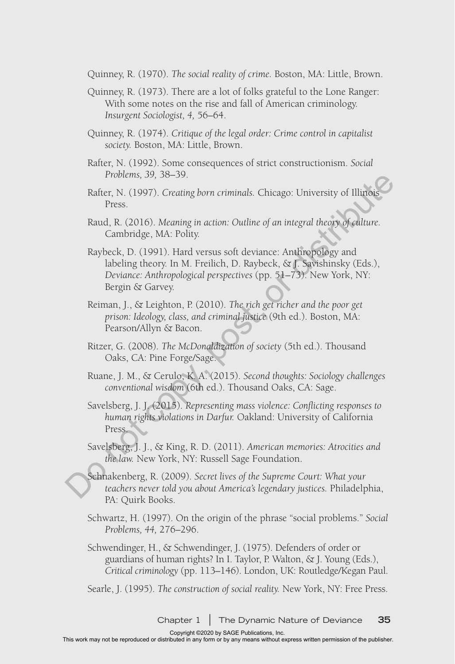Quinney, R. (1970). *The social reality of crime.* Boston, MA: Little, Brown.

- Quinney, R. (1973). There are a lot of folks grateful to the Lone Ranger: With some notes on the rise and fall of American criminology. *Insurgent Sociologist, 4,* 56–64.
- Quinney, R. (1974). *Critique of the legal order: Crime control in capitalist society.* Boston, MA: Little, Brown.
- Rafter, N. (1992). Some consequences of strict constructionism. *Social Problems, 39,* 38–39.
- Rafter, N. (1997). *Creating born criminals.* Chicago: University of Illinois Press.
- Raud, R. (2016). *Meaning in action: Outline of an integral theory of culture.* Cambridge, MA: Polity.
- Raybeck, D. (1991). Hard versus soft deviance: Anthropology and labeling theory. In M. Freilich, D. Raybeck, & J. Savishinsky (Eds.), *Deviance: Anthropological perspectives* (pp. 51–73). New York, NY: Bergin & Garvey. Problems, 39, 38–39.<br>
Rafeter, N. (1997). Creating born criminals. Chicago: University of Illinois<br>
Press.<br>
Raud, R. (2016). Meaning in action: Outline of an integral theory of calibure.<br>
Cambridge, MA: Polity.<br>
Raybeck, D
	- Reiman, J., & Leighton, P. (2010). *The rich get richer and the poor get prison: Ideology, class, and criminal justice* (9th ed.). Boston, MA: Pearson/Allyn & Bacon.
	- Ritzer, G. (2008). *The McDonaldization of society* (5th ed.). Thousand Oaks, CA: Pine Forge/Sage.
	- Ruane, J. M., & Cerulo, K. A. (2015). *Second thoughts: Sociology challenges conventional wisdom* (6th ed.). Thousand Oaks, CA: Sage.
	- Savelsberg, J. J. (2015). *Representing mass violence: Conflicting responses to human rights violations in Darfur.* Oakland: University of California Press.
	- Savelsberg, J. J., & King, R. D. (2011). *American memories: Atrocities and the law.* New York, NY: Russell Sage Foundation.
	- Schnakenberg, R. (2009). *Secret lives of the Supreme Court: What your teachers never told you about America's legendary justices.* Philadelphia, PA: Quirk Books.
	- Schwartz, H. (1997). On the origin of the phrase "social problems." *Social Problems, 44,* 276–296.
	- Schwendinger, H., & Schwendinger, J. (1975). Defenders of order or guardians of human rights? In I. Taylor, P. Walton, & J. Young (Eds.), *Critical criminology* (pp. 113–146). London, UK: Routledge/Kegan Paul.
	- Searle, J. (1995). *The construction of social reality.* New York, NY: Free Press.

Copyright ©2020 by SAGE Publications, Inc.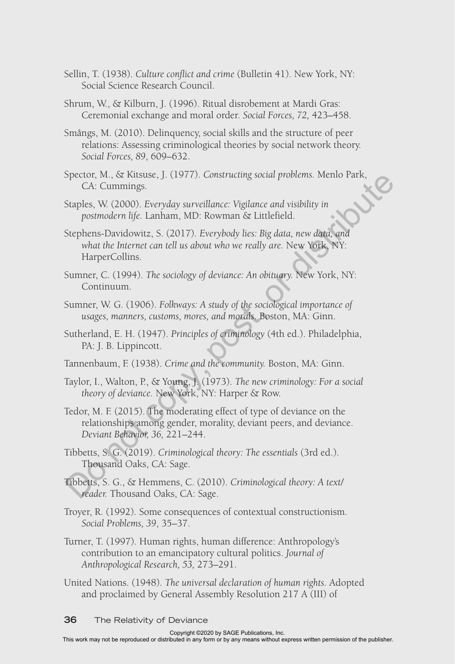- Sellin, T. (1938). *Culture conflict and crime* (Bulletin 41). New York, NY: Social Science Research Council.
- Shrum, W., & Kilburn, J. (1996). Ritual disrobement at Mardi Gras: Ceremonial exchange and moral order. *Social Forces, 72,* 423–458.
- Smångs, M. (2010). Delinquency, social skills and the structure of peer relations: Assessing criminological theories by social network theory. *Social Forces, 89*, 609–632.
- Spector, M., & Kitsuse, J. (1977). *Constructing social problems.* Menlo Park, CA: Cummings.
- Staples, W. (2000). *Everyday surveillance: Vigilance and visibility in postmodern life.* Lanham, MD: Rowman & Littlefield.
- Stephens-Davidowitz, S. (2017). *Everybody lies: Big data, new data, and what the Internet can tell us about who we really are.* New York, NY: HarperCollins.
- Sumner, C. (1994). *The sociology of deviance: An obituary.* New York, NY: Continuum.
- Sumner, W. G. (1906). *Folkways: A study of the sociological importance of usages, manners, customs, mores, and morals*. Boston, MA: Ginn.
- Sutherland, E. H. (1947). *Principles of criminology* (4th ed.). Philadelphia, PA: J. B. Lippincott.
- Tannenbaum, F. (1938). *Crime and the community.* Boston, MA: Ginn.
- Taylor, I., Walton, P., & Young, J. (1973). *The new criminology: For a social theory of deviance.* New York, NY: Harper & Row.
- Tedor, M. F. (2015). The moderating effect of type of deviance on the relationships among gender, morality, deviant peers, and deviance. *Deviant Behavior, 36,* 221–244. Specior, M., ex Kitsuse, J. (1977). Constructing social problems. Menio Park,<br>CA: Cummings.<br>Staples, W. (2000). Everyday surveillance: Vigilance and visibility in<br>postmodern life. Lanham, MD: Rowman & Littlefield.<br>Stephens
- Tibbetts, S. G. (2019). *Criminological theory: The essentials* (3rd ed.). Thousand Oaks, CA: Sage.
- Tibbetts, S. G., & Hemmens, C. (2010). *Criminological theory: A text/ reader.* Thousand Oaks, CA: Sage.
- Troyer, R. (1992). Some consequences of contextual constructionism. *Social Problems, 39*, 35–37.
- Turner, T. (1997). Human rights, human difference: Anthropology's contribution to an emancipatory cultural politics. *Journal of Anthropological Research, 53,* 273–291.
- United Nations. (1948). *The universal declaration of human rights.* Adopted and proclaimed by General Assembly Resolution 217 A (III) of